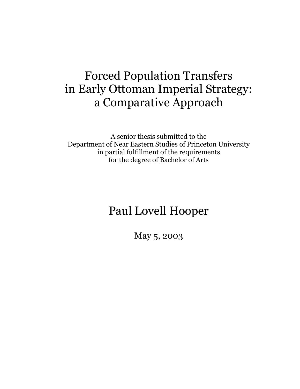# **Forced Population Transfers** in Early Ottoman Imperial Strategy: a Comparative Approach

A senior thesis submitted to the Department of Near Eastern Studies of Princeton University in partial fulfillment of the requirements for the degree of Bachelor of Arts

# Paul Lovell Hooper

May 5, 2003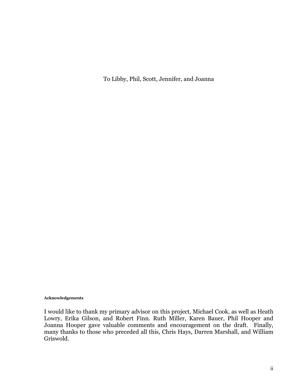To Libby, Phil, Scott, Jennifer, and Joanna

#### Acknowledgements

I would like to thank my primary advisor on this project, Michael Cook, as well as Heath Lowry, Erika Gilson, and Robert Finn. Ruth Miller, Karen Bauer, Phil Hooper and Joanna Hooper gave valuable comments and encouragement on the draft. Finally, many thanks to those who preceded all this, Chris Hays, Darren Marshall, and William Griswold.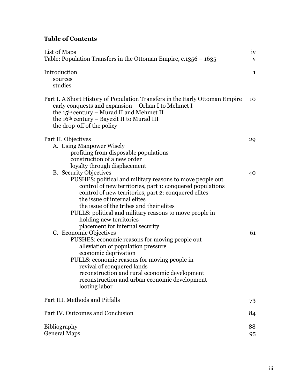### **Table of Contents**

| List of Maps                                                                                                                                                                                                                                                                                                                                                                                                                                                                                                                                                                                                                                                                                                                                                                                                                                                                                        | iv           |
|-----------------------------------------------------------------------------------------------------------------------------------------------------------------------------------------------------------------------------------------------------------------------------------------------------------------------------------------------------------------------------------------------------------------------------------------------------------------------------------------------------------------------------------------------------------------------------------------------------------------------------------------------------------------------------------------------------------------------------------------------------------------------------------------------------------------------------------------------------------------------------------------------------|--------------|
| Table: Population Transfers in the Ottoman Empire, $c.1356 - 1635$                                                                                                                                                                                                                                                                                                                                                                                                                                                                                                                                                                                                                                                                                                                                                                                                                                  | $\mathbf{V}$ |
| Introduction<br>sources<br>studies                                                                                                                                                                                                                                                                                                                                                                                                                                                                                                                                                                                                                                                                                                                                                                                                                                                                  | $\mathbf{1}$ |
| Part I. A Short History of Population Transfers in the Early Ottoman Empire<br>early conquests and expansion – Orhan I to Mehmet I<br>the 15 <sup>th</sup> century - Murad II and Mehmet II<br>the 16 <sup>th</sup> century – Bayezit II to Murad III<br>the drop-off of the policy                                                                                                                                                                                                                                                                                                                                                                                                                                                                                                                                                                                                                 | 10           |
| Part II. Objectives                                                                                                                                                                                                                                                                                                                                                                                                                                                                                                                                                                                                                                                                                                                                                                                                                                                                                 | 29           |
| A. Using Manpower Wisely<br>profiting from disposable populations<br>construction of a new order<br>loyalty through displacement<br><b>B.</b> Security Objectives<br>PUSHES: political and military reasons to move people out<br>control of new territories, part 1: conquered populations<br>control of new territories, part 2: conquered elites<br>the issue of internal elites<br>the issue of the tribes and their elites<br>PULLS: political and military reasons to move people in<br>holding new territories<br>placement for internal security<br>C. Economic Objectives<br>PUSHES: economic reasons for moving people out<br>alleviation of population pressure<br>economic deprivation<br>PULLS: economic reasons for moving people in<br>revival of conquered lands<br>reconstruction and rural economic development<br>reconstruction and urban economic development<br>looting labor | 40<br>61     |
| Part III. Methods and Pitfalls                                                                                                                                                                                                                                                                                                                                                                                                                                                                                                                                                                                                                                                                                                                                                                                                                                                                      | 73           |
| Part IV. Outcomes and Conclusion                                                                                                                                                                                                                                                                                                                                                                                                                                                                                                                                                                                                                                                                                                                                                                                                                                                                    | 84           |
| <b>Bibliography</b><br><b>General Maps</b>                                                                                                                                                                                                                                                                                                                                                                                                                                                                                                                                                                                                                                                                                                                                                                                                                                                          | 88<br>95     |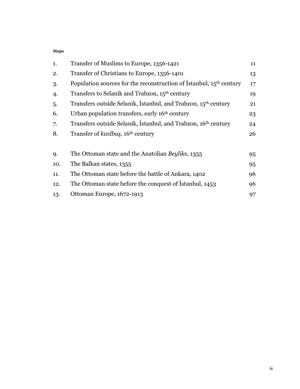#### Maps

| 1.  | Transfer of Muslims to Europe, 1356-1421                                   | 11 |
|-----|----------------------------------------------------------------------------|----|
| 2.  | Transfer of Christians to Europe, 1356-1401                                | 13 |
| 3.  | Population sources for the reconstruction of Istanbul, $15th$ century      | 17 |
| 4.  | Transfers to Selanik and Trabzon, 15 <sup>th</sup> century                 | 19 |
| 5.  | Transfers outside Selanik, Istanbul, and Trabzon, 15 <sup>th</sup> century | 21 |
| 6.  | Urban population transfers, early 16 <sup>th</sup> century                 | 23 |
| 7.  | Transfers outside Selanik, Istanbul, and Trabzon, 16 <sup>th</sup> century | 24 |
| 8.  | Transfer of kizilbaş, 16 <sup>th</sup> century                             | 26 |
|     |                                                                            |    |
| 9.  | The Ottoman state and the Anatolian Beyliks, 1355                          | 95 |
| 10. | The Balkan states, 1355                                                    | 95 |
| 11. | The Ottoman state before the battle of Ankara, 1402                        | 96 |
| 12. | The Ottoman state before the conquest of Istanbul, 1453                    | 96 |
| 13. | Ottoman Europe, 1672-1913                                                  | 97 |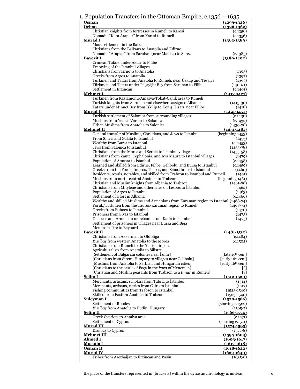### 1. Population Transfers in the Ottoman Empire  $c$  1256 – 1625

| Osman<br>Orhan                                                                                                         | $(1299-1326)$<br>$(1326 - 1362)$             |
|------------------------------------------------------------------------------------------------------------------------|----------------------------------------------|
| Christian knights from fortresses in Rumeli to Karesi                                                                  | (c.1356)                                     |
| Nomadic "Kara Araplar" from Karesi to Rumeli                                                                           | (c.1356)                                     |
| <u>Murad I</u><br>Mass settlement in the Balkans                                                                       | $(1362 - 1389)$                              |
| Christians from the Balkans to Anatolia and Edirne                                                                     |                                              |
| Nomadic "Araplar" from Saruhan (near Manisa) to Serez                                                                  | (c.1385)                                     |
| <u>Bavezit I</u>                                                                                                       | $(1389-1402)$                                |
| Crimean Tatars under Aktav to Filibe                                                                                   |                                              |
| Emptying of the Istanbul villages                                                                                      |                                              |
| Christians from Tirnova to Anatolia                                                                                    | (1393)                                       |
| Greeks from Argos to Anatolia<br>Türkmen and Tatars from Anatolia to Rumeli, near Üsküp and Tesalya                    | (1397)<br>(1397)                             |
| Türkmen and Tatars under Paşayiğit Bey from Saruhan to Filibe                                                          | (1400/1)                                     |
| Settlement in Erzincan                                                                                                 | (c.1401)                                     |
| <b>Mehmet I</b>                                                                                                        | <u>(1413-1421)</u>                           |
| Türkmen from Kastamonu-Amasya-Tokat-Canik area to Rumeli                                                               |                                              |
| Turkish knights from Saruhan and elsewhere assigned Albania                                                            | $(1415-30)$                                  |
| Tatars under Minnet Bey from Iskilip to Konis Hisari, near Filibe                                                      | (1418)                                       |
| <b>Murad II</b><br>Turkish settlement of Salonica from surrounding villages                                            | $(1421 - 1451)$<br>(c.1430)                  |
| Muslims from Yenice Vardar to Salonica                                                                                 | (c.1432)                                     |
| Urban Muslims from Anatolia to Salonica                                                                                | $(1430 - 78)$                                |
| <b>Mehmet II</b>                                                                                                       | $(1451 - 1481)$                              |
| General transfer of Muslims, Christians, and Jews to İstanbul                                                          | (beginning 1453)                             |
| From Silivri and Galata to Istanbul                                                                                    | (1453)                                       |
| Wealthy from Bursa to Istanbul                                                                                         | (c. 1453)                                    |
| Jews from Salonica to Istanbul<br>Christians from the Morea and Serbia to Istanbul villages                            | $(1453 - 78)$<br>$(1455-58)$                 |
| Christians from Zante, Cephalonia, and Aya Maura to Istanbul villages                                                  | (1479)                                       |
| Population of Amasra to Istanbul                                                                                       | (c.1458)                                     |
| Learned and skilled from Edirne, Filibe, Gelibolu, and Bursa to İstanbul                                               | (c.1459)                                     |
| Greeks from the Foças, Imbros, Thasos, and Samothrace to Istanbul                                                      | (1460)                                       |
| Residents, royals, notables, and skilled from Trabzon to Istanbul and Rumeli                                           | (1461)                                       |
| Muslims from north-central Anatolia to Trabzon                                                                         | (beginning 1461)                             |
| Christian and Muslim knights from Albania to Trabzon<br>Christians from Mitylene and other sites on Lesbos to Istanbul | $(1461 - 86)$<br>(1462)                      |
| Population of Argos to Istanbul                                                                                        | (1463)                                       |
| Settlement of a fort in Albania                                                                                        | (c.1466)                                     |
| Wealthy and skilled Muslims and Armenians from Karaman region to Istanbul (1468-74)                                    |                                              |
| Yörük/Türkmen from the Taurus-Karaman region to Rumeli                                                                 | $(1468 - 74)$                                |
| Greeks from Euboea to Istanbul                                                                                         | (1470)                                       |
| Prisoners from Sivas to Istanbul<br>Genoese and Armenian merchants from Kaffa to Istanbul                              | (1473)                                       |
| Settlement of prisoners in villages near Bursa and Biga                                                                | (1475)                                       |
| Men from Tire to Bayburd                                                                                               |                                              |
| <b>Bayezit II</b>                                                                                                      | <u>(1481-1512)</u>                           |
| Christians from Akkerman to Old Biga                                                                                   | (c.1484)                                     |
| Kızılbaş from western Anatolia to the Morea                                                                            | (c.1502)                                     |
| Christians from Rumeli to the Yenişehir pass                                                                           |                                              |
| Agriculturalists from Anatolia to Silistre<br>[Settlement of Bulgarian colonies near Izmir]                            | $\lceil$ late 15 <sup>th</sup> cen. $\rceil$ |
| [Christians from Sirem, Hungary to villages near Gelibolu]                                                             | [early 16 <sup>th</sup> cen.]                |
| [Muslims from Anatolia to Serbian and Hungarian cities]                                                                | [early 16 <sup>th</sup> cen.]                |
| [Christians to the castle of Foça in the kaza of Menemen]                                                              | [3]                                          |
| [Christian and Muslim peasants from Trabzon to a <i>timar</i> in Rumeli]                                               | [?]                                          |
| Selim <sub>I</sub>                                                                                                     | $(1512 - 1520)$                              |
| Merchants, artisans, scholars from Tabriz to Istanbul                                                                  | (1514)                                       |
| Merchants, artisans, clerics from Cairo to Istanbul                                                                    | (1517)                                       |
| Fishing communities from Trabzon to Istanbul<br>Skilled from Eastern Anatolia to Trabzon                               | $(1523 - 1540)$<br>$(1523 - 1540)$           |
| Sülevman I                                                                                                             | $(1520 - 1566)$                              |
| Settlement of Rhodes                                                                                                   | (starting c.1522)                            |
| Kızılbaş from Anatolia to Budin, Hungary                                                                               | $(1565-7)$                                   |
| Selim II                                                                                                               | $(1566 - 1574)$                              |
| Greek Cypriots to Antalya area                                                                                         | (c.1571)                                     |
| Settlement of Cyprus                                                                                                   | (stating c.1571)                             |
| <b>Murad III</b>                                                                                                       | $(1574 - 1595)$                              |
| Kızılbaş to Cyprus<br><b>Mehmet III</b>                                                                                | $(1577-8)$<br><u>(1595-1603)</u>             |
| Ahmed I                                                                                                                | $(1603 - 1617)$                              |
| <u>Mustafa I</u>                                                                                                       | $(1617 - 1618)$                              |
| Osman II                                                                                                               | $(1618 - 1622)$                              |
| <b>Murad IV</b>                                                                                                        | $(1623 - 1640)$                              |
| Tribes from Azerbaijan to Erzincan and Pasin                                                                           | $(1635-6)$                                   |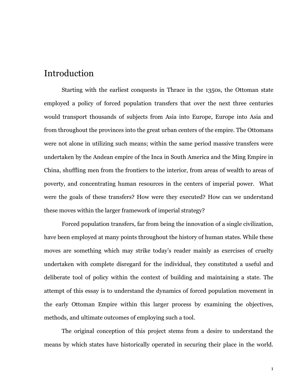## Introduction

Starting with the earliest conquests in Thrace in the 1350s, the Ottoman state employed a policy of forced population transfers that over the next three centuries would transport thousands of subjects from Asia into Europe, Europe into Asia and from throughout the provinces into the great urban centers of the empire. The Ottomans were not alone in utilizing such means; within the same period massive transfers were undertaken by the Andean empire of the Inca in South America and the Ming Empire in China, shuffling men from the frontiers to the interior, from areas of wealth to areas of poverty, and concentrating human resources in the centers of imperial power. What were the goals of these transfers? How were they executed? How can we understand these moves within the larger framework of imperial strategy?

Forced population transfers, far from being the innovation of a single civilization, have been employed at many points throughout the history of human states. While these moves are something which may strike today's reader mainly as exercises of cruelty undertaken with complete disregard for the individual, they constituted a useful and deliberate tool of policy within the context of building and maintaining a state. The attempt of this essay is to understand the dynamics of forced population movement in the early Ottoman Empire within this larger process by examining the objectives, methods, and ultimate outcomes of employing such a tool.

The original conception of this project stems from a desire to understand the means by which states have historically operated in securing their place in the world.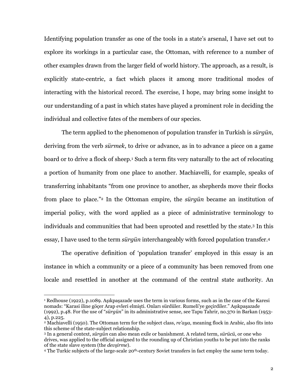Identifying population transfer as one of the tools in a state's arsenal, I have set out to explore its workings in a particular case, the Ottoman, with reference to a number of other examples drawn from the larger field of world history. The approach, as a result, is explicitly state-centric, a fact which places it among more traditional modes of interacting with the historical record. The exercise, I hope, may bring some insight to our understanding of a past in which states have played a prominent role in deciding the individual and collective fates of the members of our species.

The term applied to the phenomenon of population transfer in Turkish is surgun, deriving from the verb surmek, to drive or advance, as in to advance a piece on a game board or to drive a flock of sheep.<sup>1</sup> Such a term fits very naturally to the act of relocating a portion of humanity from one place to another. Machiavelli, for example, speaks of transferring inhabitants "from one province to another, as shepherds move their flocks from place to place."<sup>2</sup> In the Ottoman empire, the *sürgün* became an institution of imperial policy, with the word applied as a piece of administrative terminology to individuals and communities that had been uprooted and resettled by the state.<sup>3</sup> In this essay, I have used to the term *sürgün* interchangeably with forced population transfer.<sup>4</sup>

The operative definition of 'population transfer' employed in this essay is an instance in which a community or a piece of a community has been removed from one locale and resettled in another at the command of the central state authority. An

<sup>&</sup>lt;sup>1</sup> Redhouse (1922), p.1089. Asikpasazade uses the term in various forms, such as in the case of the Karesi nomads: "Karasi iline göcer Arap evleri elmisti. Onları sürdüler. Rumeli'ye gecirdiler." Asıkpasazade (1992), p.48. For the use of "sürgün" in its administrative sense, see Tapu Tahrir, no.370 in Barkan (1953-4), p.225.

<sup>&</sup>lt;sup>2</sup> Machiavelli (1950). The Ottoman term for the subject class, *re'aya*, meaning flock in Arabic, also fits into this scheme of the state-subject relationship.

<sup>&</sup>lt;sup>3</sup> In a general context, *sürgün* can also mean exile or banishment. A related term, *sürücü*, or one who drives, was applied to the official assigned to the rounding up of Christian youths to be put into the ranks of the state slave system (the *devsirme*).

<sup>&</sup>lt;sup>4</sup> The Turkic subjects of the large-scale 20<sup>th</sup>-century Soviet transfers in fact employ the same term today.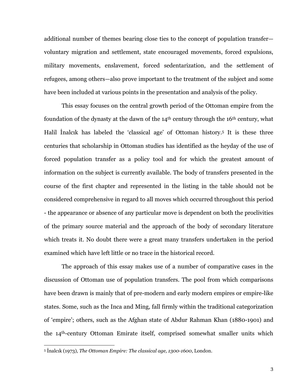additional number of themes bearing close ties to the concept of population transfer voluntary migration and settlement, state encouraged movements, forced expulsions, military movements, enslavement, forced sedentarization, and the settlement of refugees, among others—also prove important to the treatment of the subject and some have been included at various points in the presentation and analysis of the policy.

This essay focuses on the central growth period of the Ottoman empire from the foundation of the dynasty at the dawn of the  $14<sup>th</sup>$  century through the  $16<sup>th</sup>$  century, what Halil Inalcik has labeled the 'classical age' of Ottoman history.<sup>5</sup> It is these three centuries that scholarship in Ottoman studies has identified as the heyday of the use of forced population transfer as a policy tool and for which the greatest amount of information on the subject is currently available. The body of transfers presented in the course of the first chapter and represented in the listing in the table should not be considered comprehensive in regard to all moves which occurred throughout this period - the appearance or absence of any particular move is dependent on both the proclivities of the primary source material and the approach of the body of secondary literature which treats it. No doubt there were a great many transfers undertaken in the period examined which have left little or no trace in the historical record.

The approach of this essay makes use of a number of comparative cases in the discussion of Ottoman use of population transfers. The pool from which comparisons have been drawn is mainly that of pre-modern and early modern empires or empire-like states. Some, such as the Inca and Ming, fall firmly within the traditional categorization of 'empire'; others, such as the Afghan state of Abdur Rahman Khan (1880-1901) and the 14<sup>th</sup>-century Ottoman Emirate itself, comprised somewhat smaller units which

<sup>&</sup>lt;sup>5</sup> İnalcık (1973), The Ottoman Empire: The classical age, 1300-1600, London.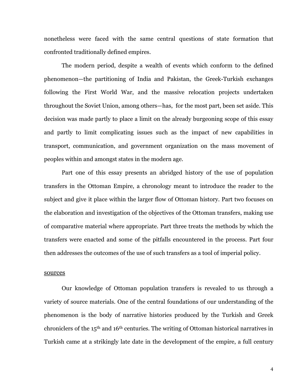nonetheless were faced with the same central questions of state formation that confronted traditionally defined empires.

The modern period, despite a wealth of events which conform to the defined phenomenon—the partitioning of India and Pakistan, the Greek-Turkish exchanges following the First World War, and the massive relocation projects undertaken throughout the Soviet Union, among others—has, for the most part, been set aside. This decision was made partly to place a limit on the already burgeoning scope of this essay and partly to limit complicating issues such as the impact of new capabilities in transport, communication, and government organization on the mass movement of peoples within and amongst states in the modern age.

Part one of this essay presents an abridged history of the use of population transfers in the Ottoman Empire, a chronology meant to introduce the reader to the subject and give it place within the larger flow of Ottoman history. Part two focuses on the elaboration and investigation of the objectives of the Ottoman transfers, making use of comparative material where appropriate. Part three treats the methods by which the transfers were enacted and some of the pitfalls encountered in the process. Part four then addresses the outcomes of the use of such transfers as a tool of imperial policy.

### sources

Our knowledge of Ottoman population transfers is revealed to us through a variety of source materials. One of the central foundations of our understanding of the phenomenon is the body of narrative histories produced by the Turkish and Greek chroniclers of the 15<sup>th</sup> and 16<sup>th</sup> centuries. The writing of Ottoman historical narratives in Turkish came at a strikingly late date in the development of the empire, a full century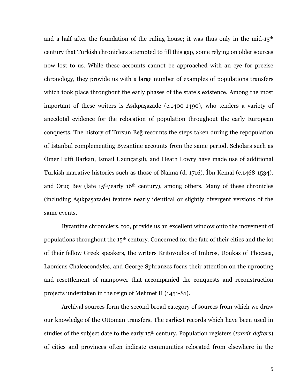and a half after the foundation of the ruling house; it was thus only in the mid-15<sup>th</sup> century that Turkish chroniclers attempted to fill this gap, some relying on older sources now lost to us. While these accounts cannot be approached with an eye for precise chronology, they provide us with a large number of examples of populations transfers which took place throughout the early phases of the state's existence. Among the most important of these writers is Aşıkpaşazade (c.1400-1490), who tenders a variety of anecdotal evidence for the relocation of population throughout the early European conquests. The history of Tursun Beğ recounts the steps taken during the repopulation of Istanbul complementing Byzantine accounts from the same period. Scholars such as Ömer Lutfi Barkan, İsmail Uzunçarşılı, and Heath Lowry have made use of additional Turkish narrative histories such as those of Naima (d. 1716), Ibn Kemal (c.1468-1534), and Oruç Bey (late 15<sup>th</sup>/early 16<sup>th</sup> century), among others. Many of these chronicles (including Aşıkpaşazade) feature nearly identical or slightly divergent versions of the same events.

Byzantine chroniclers, too, provide us an excellent window onto the movement of populations throughout the 15<sup>th</sup> century. Concerned for the fate of their cities and the lot of their fellow Greek speakers, the writers Kritovoulos of Imbros, Doukas of Phocaea, Laonicus Chalcocondyles, and George Sphranzes focus their attention on the uprooting and resettlement of manpower that accompanied the conquests and reconstruction projects undertaken in the reign of Mehmet II (1451-81).

Archival sources form the second broad category of sources from which we draw our knowledge of the Ottoman transfers. The earliest records which have been used in studies of the subject date to the early 15<sup>th</sup> century. Population registers (*tahrir defters*) of cities and provinces often indicate communities relocated from elsewhere in the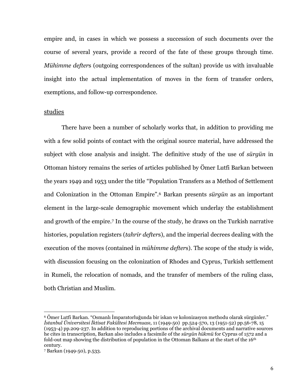empire and, in cases in which we possess a succession of such documents over the course of several years, provide a record of the fate of these groups through time. Mühimme defters (outgoing correspondences of the sultan) provide us with invaluable insight into the actual implementation of moves in the form of transfer orders, exemptions, and follow-up correspondence.

### studies

There have been a number of scholarly works that, in addition to providing me with a few solid points of contact with the original source material, have addressed the subject with close analysis and insight. The definitive study of the use of sürgün in Ottoman history remains the series of articles published by Ömer Lutfi Barkan between the years 1949 and 1953 under the title "Population Transfers as a Method of Settlement and Colonization in the Ottoman Empire".<sup>6</sup> Barkan presents surgun as an important element in the large-scale demographic movement which underlay the establishment and growth of the empire.<sup>7</sup> In the course of the study, he draws on the Turkish narrative histories, population registers (tahrir defters), and the imperial decrees dealing with the execution of the moves (contained in *mühimme defters*). The scope of the study is wide, with discussion focusing on the colonization of Rhodes and Cyprus, Turkish settlement in Rumeli, the relocation of nomads, and the transfer of members of the ruling class, both Christian and Muslim.

<sup>&</sup>lt;sup>6</sup> Ömer Lutfi Barkan. "Osmanlı İmparatorluğunda bir iskan ve kolonizasyon methodu olarak sürgünler." İstanbul Üniversitesi İktisat Fakültesi Mecmuası. 11 (1949-50) pp.524-570. 13 (1951-52) pp.56-78. 15 (1953-4) pp.209-237. In addition to reproducing portions of the archival documents and narrative sources he cites in transcription, Barkan also includes a facsimile of the *sürgün hükmü* for Cyprus of 1572 and a fold-out map showing the distribution of population in the Ottoman Balkans at the start of the  $16<sup>th</sup>$ century.

<sup>7</sup> Barkan (1949-50), p.533.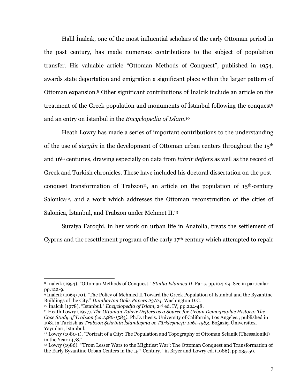Halil Inalcik, one of the most influential scholars of the early Ottoman period in the past century, has made numerous contributions to the subject of population transfer. His valuable article "Ottoman Methods of Conquest", published in 1954, awards state deportation and emigration a significant place within the larger pattern of Ottoman expansion.<sup>8</sup> Other significant contributions of Inalcik include an article on the treatment of the Greek population and monuments of Istanbul following the conquest<sup>9</sup> and an entry on Istanbul in the *Encuclopedia of Islam*.<sup>10</sup>

Heath Lowry has made a series of important contributions to the understanding of the use of *sürgün* in the development of Ottoman urban centers throughout the 15<sup>th</sup> and 16<sup>th</sup> centuries, drawing especially on data from *tahrir defters* as well as the record of Greek and Turkish chronicles. These have included his doctoral dissertation on the postconquest transformation of Trabzon<sup>11</sup>, an article on the population of  $15<sup>th</sup>$ -century Salonica<sup>12</sup>, and a work which addresses the Ottoman reconstruction of the cities of Salonica, Istanbul, and Trabzon under Mehmet II.<sup>13</sup>

Suraiya Faroqhi, in her work on urban life in Anatolia, treats the settlement of Cyprus and the resettlement program of the early 17<sup>th</sup> century which attempted to repair

<sup>&</sup>lt;sup>8</sup> Inalcik (1954). "Ottoman Methods of Conquest." Studia Islamica II. Paris. pp.104-29. See in particular pp.122-9.

 $\frac{1}{9}$  Inalcik (1969/70). "The Policy of Mehmed II Toward the Greek Population of Istanbul and the Byzantine Buildings of the City." Dumbarton Oaks Papers 23/24. Washington D.C.

<sup>&</sup>lt;sup>10</sup> Inalcik (1978). "Istanbul." Encyclopedia of Islam, 2<sup>nd</sup> ed. IV, pp.224-48.

<sup>&</sup>lt;sup>11</sup> Heath Lowry (1977). The Ottoman Tahrir Defters as a Source for Urban Demographic History: The Case Study of Trabzon (ca.1486-1583). Ph.D. thesis. University of California, Los Angeles.; published in 1981 in Turkish as Trabzon Sehrinin İslamlaşma ve Türkleşmeşi: 1461-1583. Boğaziçi Üniversitesi Yavınları, İstanbul,

 $12$  Lowry (1980-1). "Portrait of a City: The Population and Topography of Ottoman Selanik (Thessaloniki) in the Year 1478."

<sup>&</sup>lt;sup>13</sup> Lowry (1986). "'From Lesser Wars to the Mightiest War': The Ottoman Conquest and Transformation of the Early Byzantine Urban Centers in the 15<sup>th</sup> Century." in Bryer and Lowry ed. (1986), pp.235-59.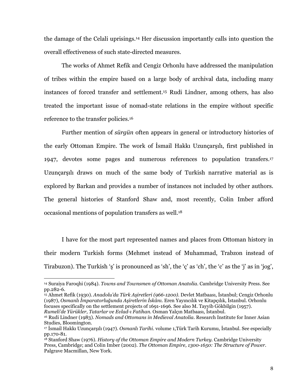the damage of the Celali uprisings.<sup>14</sup> Her discussion importantly calls into question the overall effectiveness of such state-directed measures.

The works of Ahmet Refik and Cengiz Orhonlu have addressed the manipulation of tribes within the empire based on a large body of archival data, including many instances of forced transfer and settlement.<sup>15</sup> Rudi Lindner, among others, has also treated the important issue of nomad-state relations in the empire without specific reference to the transfer policies.<sup>16</sup>

Further mention of *sürgün* often appears in general or introductory histories of the early Ottoman Empire. The work of Ismail Hakki Uzuncarsili, first published in 1947, devotes some pages and numerous references to population transfers.<sup>17</sup> Uzunçarşılı draws on much of the same body of Turkish narrative material as is explored by Barkan and provides a number of instances not included by other authors. The general histories of Stanford Shaw and, most recently, Colin Imber afford occasional mentions of population transfers as well.<sup>18</sup>

I have for the most part represented names and places from Ottoman history in their modern Turkish forms (Mehmet instead of Muhammad, Trabzon instead of Tirabuzon). The Turkish 's' is pronounced as 'sh', the 'c' as 'ch', the 'c' as the 'j' as in 'jog',

<sup>15</sup> Ahmet Refik (1930). *Anadolu'da Türk Asiretleri (966-1200)*. Devlet Matbaası, İstanbul; Cengiz Orhonlu (1987), Osmanlı İmparatorluğunda Asiretlerin İskânı. Eren Yayıncılık ve Kitapcılık, İstanbul, Orhonlu focuses specifically on the settlement projects of 1691-1696. See also M. Tayyib Gökbilgin (1957). Rumeli'de Yürükler, Tatarlar ve Evlad-ı Fatihan. Osman Yalçın Matbaası, İstanbul.

<sup>&</sup>lt;sup>14</sup> Suraiya Faroqhi (1984). Towns and Townsmen of Ottoman Anatolia. Cambridge University Press. See pp.282-6.

<sup>&</sup>lt;sup>16</sup> Rudi Lindner (1983). Nomads and Ottomans in Medieval Anatolia. Research Institute for Inner Asian Studies, Bloomington.

<sup>&</sup>lt;sup>17</sup> İsmail Hakkı Uzuncarsılı (1947). *Osmanlı Tarihi*, volume 1,Türk Tarih Kurumu, İstanbul, See especially pp.170-81.

<sup>&</sup>lt;sup>18</sup> Stanford Shaw (1976). History of the Ottoman Empire and Modern Turkey. Cambridge University Press, Cambridge; and Colin Imber (2002). The Ottoman Empire, 1300-1650: The Structure of Power. Palgrave Macmillan, New York.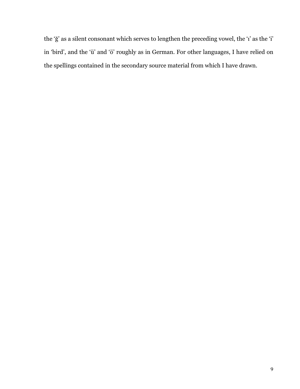the 'ğ' as a silent consonant which serves to lengthen the preceding vowel, the 'i' as the 'i' in 'bird', and the 'ü' and 'ö' roughly as in German. For other languages, I have relied on the spellings contained in the secondary source material from which I have drawn.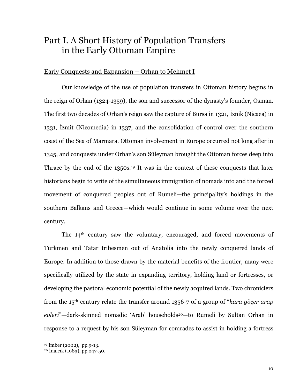# Part I. A Short History of Population Transfers in the Early Ottoman Empire

### Early Conquests and Expansion – Orhan to Mehmet I

Our knowledge of the use of population transfers in Ottoman history begins in the reign of Orhan (1324-1359), the son and successor of the dynasty's founder, Osman. The first two decades of Orhan's reign saw the capture of Bursa in 1321, Iznik (Nicaea) in 1331, Izmit (Nicomedia) in 1337, and the consolidation of control over the southern coast of the Sea of Marmara. Ottoman involvement in Europe occurred not long after in 1345, and conquests under Orhan's son Süleyman brought the Ottoman forces deep into Thrace by the end of the 1350s.<sup>19</sup> It was in the context of these conquests that later historians begin to write of the simultaneous immigration of nomads into and the forced movement of conquered peoples out of Rumeli-the principality's holdings in the southern Balkans and Greece—which would continue in some volume over the next century.

The 14<sup>th</sup> century saw the voluntary, encouraged, and forced movements of Türkmen and Tatar tribesmen out of Anatolia into the newly conquered lands of Europe. In addition to those drawn by the material benefits of the frontier, many were specifically utilized by the state in expanding territory, holding land or fortresses, or developing the pastoral economic potential of the newly acquired lands. Two chroniclers from the  $15<sup>th</sup>$  century relate the transfer around 1356-7 of a group of "kara göcer arap" evleri"-dark-skinned nomadic 'Arab' households<sup>20</sup>-to Rumeli by Sultan Orhan in response to a request by his son Süleyman for comrades to assist in holding a fortress

<sup>&</sup>lt;sup>19</sup> Imber (2002), pp.9-13.<br><sup>20</sup> Inalcik (1983), pp.247-50.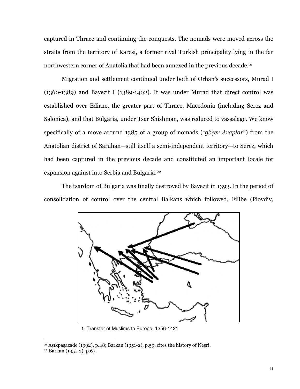captured in Thrace and continuing the conquests. The nomads were moved across the straits from the territory of Karesi, a former rival Turkish principality lying in the far northwestern corner of Anatolia that had been annexed in the previous decade.<sup>21</sup>

Migration and settlement continued under both of Orhan's successors, Murad I  $(1360-1389)$  and Bayezit I (1389-1402). It was under Murad that direct control was established over Edirne, the greater part of Thrace, Macedonia (including Serez and Salonica), and that Bulgaria, under Tsar Shishman, was reduced to vassalage. We know specifically of a move around 1385 of a group of nomads ("*göcer Araplar*") from the Anatolian district of Saruhan-still itself a semi-independent territory-to Serez, which had been captured in the previous decade and constituted an important locale for expansion against into Serbia and Bulgaria.<sup>22</sup>

The tsardom of Bulgaria was finally destroyed by Bayezit in 1393. In the period of consolidation of control over the central Balkans which followed, Filibe (Plovdiv,



1. Transfer of Muslims to Europe, 1356-1421

<sup>&</sup>lt;sup>21</sup> Aşıkpaşazade (1992), p.48; Barkan (1951-2), p.59, cites the history of Nesri.

<sup>&</sup>lt;sup>22</sup> Barkan (1951-2), p.67.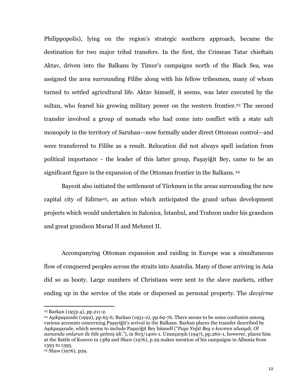Philippopolis), lying on the region's strategic southern approach, became the destination for two major tribal transfers. In the first, the Crimean Tatar chieftain Aktay, driven into the Balkans by Timur's campaigns north of the Black Sea, was assigned the area surrounding Filibe along with his fellow tribesmen, many of whom turned to settled agricultural life. Aktav himself, it seems, was later executed by the sultan, who feared his growing military power on the western frontier.<sup>23</sup> The second transfer involved a group of nomads who had come into conflict with a state salt monopoly in the territory of Saruhan—now formally under direct Ottoman control—and were transferred to Filibe as a result. Relocation did not always spell isolation from political importance - the leader of this latter group, Pasaviğit Bey, came to be an significant figure in the expansion of the Ottoman frontier in the Balkans.<sup>24</sup>

Bayezit also initiated the settlement of Türkmen in the areas surrounding the new capital city of Edirne<sup>25</sup>, an action which anticipated the grand urban development projects which would undertaken in Salonica, Istanbul, and Trabzon under his grandson and great grandson Murad II and Mehmet II.

Accompanying Ottoman expansion and raiding in Europe was a simultaneous flow of conquered peoples across the straits into Anatolia. Many of those arriving in Asia did so as booty. Large numbers of Christians were sent to the slave markets, either ending up in the service of the state or dispersed as personal property. The *devsirme* 

<sup>&</sup>lt;sup>23</sup> Barkan (1953-4), pp.211-2.

<sup>&</sup>lt;sup>24</sup> Asikpasazade (1992), pp.65-6; Barkan (1951-2), pp.69-76. There seems to be some confusion among various accounts concerning Pasaviğit's arrival in the Balkans. Barkan places the transfer described by Asikpasazade, which seems to include Pasayiğit Bey himself ("Pasa Yeğit Beg o kavmın ulusuydı. Ol zamanda onlarun ile bile gelmiş idi."), in 803/1400-1. Uzunçarşılı (1947), pp.260-1, however, places him at the Battle of Kosovo in 1389 and Shaw (1976), p.29 makes mention of his campaigns in Albania from 1393 to 1395.

<sup>&</sup>lt;sup>25</sup> Shaw (1976), p29.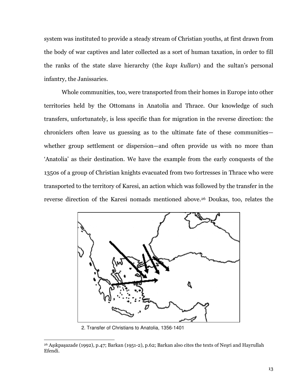system was instituted to provide a steady stream of Christian youths, at first drawn from the body of war captives and later collected as a sort of human taxation, in order to fill the ranks of the state slave hierarchy (the kapi kullari) and the sultan's personal infantry, the Janissaries.

Whole communities, too, were transported from their homes in Europe into other territories held by the Ottomans in Anatolia and Thrace. Our knowledge of such transfers, unfortunately, is less specific than for migration in the reverse direction: the chroniclers often leave us guessing as to the ultimate fate of these communities whether group settlement or dispersion—and often provide us with no more than 'Anatolia' as their destination. We have the example from the early conquests of the 1350s of a group of Christian knights evacuated from two fortresses in Thrace who were transported to the territory of Karesi, an action which was followed by the transfer in the reverse direction of the Karesi nomads mentioned above.<sup>26</sup> Doukas, too, relates the



2. Transfer of Christians to Anatolia, 1356-1401

<sup>&</sup>lt;sup>26</sup> Aşıkpaşazade (1992), p.47; Barkan (1951-2), p.62; Barkan also cites the texts of Nesri and Hayrullah Efendi.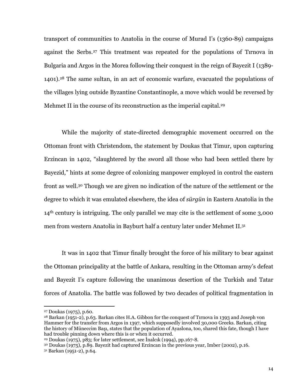transport of communities to Anatolia in the course of Murad I's (1360-89) campaigns against the Serbs.<sup>27</sup> This treatment was repeated for the populations of Tirnova in Bulgaria and Argos in the Morea following their conquest in the reign of Bayezit I (1389-1401).<sup>28</sup> The same sultan, in an act of economic warfare, evacuated the populations of the villages lying outside Byzantine Constantinople, a move which would be reversed by Mehmet II in the course of its reconstruction as the imperial capital.<sup>29</sup>

While the majority of state-directed demographic movement occurred on the Ottoman front with Christendom, the statement by Doukas that Timur, upon capturing Erzincan in 1402, "slaughtered by the sword all those who had been settled there by Bayezid," hints at some degree of colonizing manpower employed in control the eastern front as well.<sup>30</sup> Though we are given no indication of the nature of the settlement or the degree to which it was emulated elsewhere, the idea of sürgün in Eastern Anatolia in the  $14<sup>th</sup>$  century is intriguing. The only parallel we may cite is the settlement of some 3,000 men from western Anatolia in Bayburt half a century later under Mehmet II.<sup>31</sup>

It was in 1402 that Timur finally brought the force of his military to bear against the Ottoman principality at the battle of Ankara, resulting in the Ottoman army's defeat and Bayezit I's capture following the unanimous desertion of the Turkish and Tatar forces of Anatolia. The battle was followed by two decades of political fragmentation in

<sup>30</sup> Doukas (1975), p.89. Bayezit had captured Erzincan in the previous year, Imber (2002), p.16.

<sup>&</sup>lt;sup>27</sup> Doukas (1975), p.60.

<sup>&</sup>lt;sup>28</sup> Barkan (1951-2), p.63. Barkan cites H.A. Gibbon for the conquest of Tirnova in 1393 and Joseph von Hammer for the transfer from Argos in 1397, which supposedly involved 30,000 Greeks, Barkan, citing the history of Müneccim Basi, states that the population of Ayaslona, too, shared this fate, though I have had trouble pinning down where this is or when it occurred.

<sup>&</sup>lt;sup>29</sup> Doukas (1975), p83; for later settlement, see Inalcik (1994), pp.167-8.

<sup>&</sup>lt;sup>31</sup> Barkan (1951-2), p.64.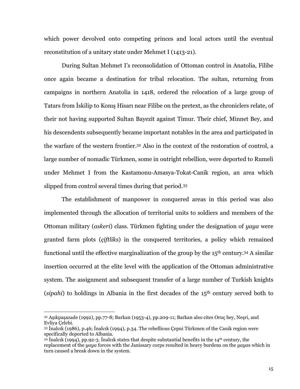which power devolved onto competing princes and local actors until the eventual reconstitution of a unitary state under Mehmet I (1413-21).

During Sultan Mehmet I's reconsolidation of Ottoman control in Anatolia, Filibe once again became a destination for tribal relocation. The sultan, returning from campaigns in northern Anatolia in 1418, ordered the relocation of a large group of Tatars from Iskilip to Konis Hisari near Filibe on the pretext, as the chroniclers relate, of their not having supported Sultan Bayezit against Timur. Their chief, Minnet Bey, and his descendents subsequently became important notables in the area and participated in the warfare of the western frontier.<sup>32</sup> Also in the context of the restoration of control, a large number of nomadic Türkmen, some in outright rebellion, were deported to Rumeli under Mehmet I from the Kastamonu-Amasya-Tokat-Canik region, an area which slipped from control several times during that period.<sup>33</sup>

The establishment of manpower in conquered areas in this period was also implemented through the allocation of territorial units to soldiers and members of the Ottoman military (askeri) class. Türkmen fighting under the designation of yaya were granted farm plots *(ciftliks)* in the conquered territories, a policy which remained functional until the effective marginalization of the group by the 15<sup>th</sup> century.<sup>34</sup> A similar insertion occurred at the elite level with the application of the Ottoman administrative system. The assignment and subsequent transfer of a large number of Turkish knights (sipahi) to holdings in Albania in the first decades of the  $15<sup>th</sup>$  century served both to

<sup>32</sup> Asikpasazade (1992), pp.77-8; Barkan (1953-4), pp.209-11; Barkan also cites Oruç bey, Nesri, and Evliva Celebi.

<sup>33</sup> Inalcik (1986), p.46; Inalcik (1994), p.34. The rebellious Çepni Türkmen of the Canik region were specifically deported to Albania.

 $34$  Inalcik (1994), pp.92-3. Inalcik states that despite substantial benefits in the 14<sup>th</sup> century, the replacement of the yaya forces with the Janissary corps resulted in heavy burdens on the yayas which in turn caused a break down in the system.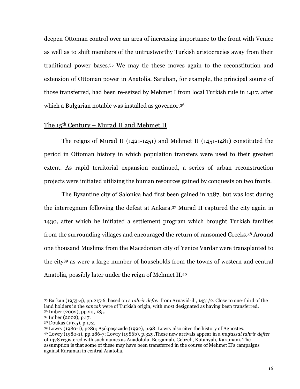deepen Ottoman control over an area of increasing importance to the front with Venice as well as to shift members of the untrustworthy Turkish aristocracies away from their traditional power bases.<sup>35</sup> We may tie these moves again to the reconstitution and extension of Ottoman power in Anatolia. Saruhan, for example, the principal source of those transferred, had been re-seized by Mehmet I from local Turkish rule in 1417, after which a Bulgarian notable was installed as governor.<sup>36</sup>

### The 15<sup>th</sup> Century – Murad II and Mehmet II

The reigns of Murad II (1421-1451) and Mehmet II (1451-1481) constituted the period in Ottoman history in which population transfers were used to their greatest extent. As rapid territorial expansion continued, a series of urban reconstruction projects were initiated utilizing the human resources gained by conquests on two fronts.

The Byzantine city of Salonica had first been gained in 1387, but was lost during the interregnum following the defeat at Ankara.<sup>37</sup> Murad II captured the city again in 1430, after which he initiated a settlement program which brought Turkish families from the surrounding villages and encouraged the return of ransomed Greeks.<sup>38</sup> Around one thousand Muslims from the Macedonian city of Yenice Vardar were transplanted to the city<sup>39</sup> as were a large number of households from the towns of western and central Anatolia, possibly later under the reign of Mehmet II.<sup>40</sup>

<sup>35</sup> Barkan (1953-4), pp.215-6, based on a *tahrir defter* from Arnavid-ili, 1431/2. Close to one-third of the land holders in the sancak were of Turkish origin, with most designated as having been transferred. <sup>36</sup> Imber (2002), pp.20, 185.

<sup>37</sup> Imber (2002), p.17.

<sup>&</sup>lt;sup>38</sup> Doukas (1975), p.172.

<sup>39</sup> Lowry (1980-1), p286; Aşıkpaşazade (1992), p.98; Lowry also cites the history of Agnostes.

<sup>&</sup>lt;sup>40</sup> Lowry (1980-1), pp.286-7; Lowry (1986b), p.329. These new arrivals appear in a *mufassal tahrir defter* of 1478 registered with such names as Anadolulu, Bergamalı, Gebzeli, Kütahyalı, Karamani. The assumption is that some of these may have been transferred in the course of Mehmet II's campaigns against Karaman in central Anatolia.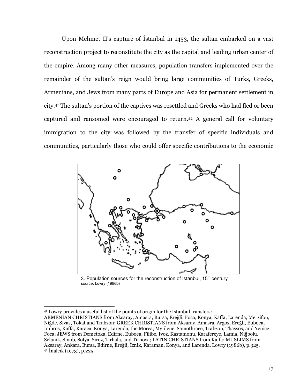Upon Mehmet II's capture of Istanbul in 1453, the sultan embarked on a vast reconstruction project to reconstitute the city as the capital and leading urban center of the empire. Among many other measures, population transfers implemented over the remainder of the sultan's reign would bring large communities of Turks, Greeks, Armenians, and Jews from many parts of Europe and Asia for permanent settlement in city.<sup>41</sup> The sultan's portion of the captives was resettled and Greeks who had fled or been captured and ransomed were encouraged to return.<sup>42</sup> A general call for voluntary immigration to the city was followed by the transfer of specific individuals and communities, particularly those who could offer specific contributions to the economic



3. Population sources for the reconstruction of Istanbul, 15<sup>th</sup> century source: Lowry (1986b)

<sup>&</sup>lt;sup>41</sup> Lowry provides a useful list of the points of origin for the Istanbul transfers:

ARMENIAN CHRISTIANS from Aksaray, Amasra, Bursa, Ereğli, Foca, Konya, Kaffa, Larenda, Merzifon, Niğde, Sivas, Tokat and Trabzon; GREEK CHRISTIANS from Aksaray, Amasra, Argos, Ereğli, Euboea, Imbros, Kaffa, Karaca, Konya, Larenda, the Morea, Mytilene, Samothrace, Trabzon, Thassos, and Yenice Foca; JEWS from Demetoka, Edirne, Euboea, Filibe, Ivoz, Kastamonu, Karafereve, Lamia, Niğbolu, Selanik, Sinob, Sofya, Siroz, Tırhala, and Tirnova; LATIN CHRISTIANS from Kaffa; MUSLIMS from Aksaray, Ankara, Bursa, Edirne, Ereğli, İznik, Karaman, Konya, and Larenda. Lowry (1986b), p.325.  $42$  Inalcik (1973), p.225.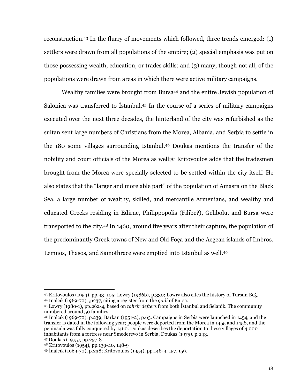reconstruction.<sup>43</sup> In the flurry of movements which followed, three trends emerged: (1) settlers were drawn from all populations of the empire; (2) special emphasis was put on those possessing wealth, education, or trades skills; and (3) many, though not all, of the populations were drawn from areas in which there were active military campaigns.

Wealthy families were brought from Bursa<sup>44</sup> and the entire Jewish population of Salonica was transferred to Istanbul.<sup>45</sup> In the course of a series of military campaigns executed over the next three decades, the hinterland of the city was refurbished as the sultan sent large numbers of Christians from the Morea, Albania, and Serbia to settle in the 180 some villages surrounding Istanbul.<sup>46</sup> Doukas mentions the transfer of the nobility and court officials of the Morea as well;<sup>47</sup> Kritovoulos adds that the tradesmen brought from the Morea were specially selected to be settled within the city itself. He also states that the "larger and more able part" of the population of Amasra on the Black Sea, a large number of wealthy, skilled, and mercantile Armenians, and wealthy and educated Greeks residing in Edirne, Philippopolis (Filibe?), Gelibolu, and Bursa were transported to the city.<sup>48</sup> In 1460, around five years after their capture, the population of the predominantly Greek towns of New and Old Foca and the Aegean islands of Imbros, Lemnos, Thasos, and Samothrace were emptied into Istanbul as well.<sup>49</sup>

<sup>&</sup>lt;sup>43</sup> Kritovoulos (1954), pp.93, 105; Lowry (1986b), p.330; Lowry also cites the history of Tursun Beğ. <sup>44</sup> Inalcik (1969-70), p237, citing a register from the *gadi* of Bursa.

<sup>45</sup> Lowry (1980-1), pp.262-4, based on *tahrir defters* from both Istanbul and Selanik. The community numbered around 50 families.

 $46$  Inalcik (1969-70), p.239; Barkan (1951-2), p.63. Campaigns in Serbia were launched in 1454, and the transfer is dated in the following year; people were deported from the Morea in 1455 and 1458, and the peninsula was fully conquered by 1460. Doukas describes the deportation to these villages of 4,000 inhabitants from a fortress near Smederevo in Serbia, Doukas (1975), p.243.

<sup>47</sup> Doukas (1975), pp.257-8.

<sup>48</sup> Kritovoulos (1954), pp.139-40, 148-9

<sup>&</sup>lt;sup>49</sup> Inalcik (1969-70), p.238; Kritovoulos (1954), pp.148-9, 157, 159.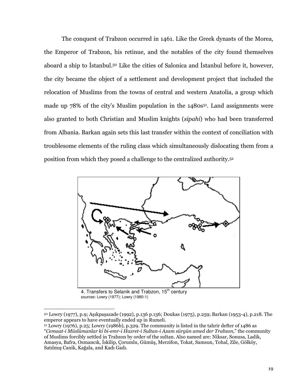The conquest of Trabzon occurred in 1461. Like the Greek dynasts of the Morea, the Emperor of Trabzon, his retinue, and the notables of the city found themselves aboard a ship to Istanbul.<sup>50</sup> Like the cities of Salonica and Istanbul before it, however, the city became the object of a settlement and development project that included the relocation of Muslims from the towns of central and western Anatolia, a group which made up 78% of the city's Muslim population in the 1480s<sup>51</sup>. Land assignments were also granted to both Christian and Muslim knights (sipahi) who had been transferred from Albania. Barkan again sets this last transfer within the context of conciliation with troublesome elements of the ruling class which simultaneously dislocating them from a position from which they posed a challenge to the centralized authority.<sup>52</sup>



4. Transfers to Selanik and Trabzon, 15<sup>th</sup> century sources: Lowry (1977); Lowry (1980-1)

<sup>50</sup> Lowry (1977), p.9; Aşıkpaşazade (1992), p.136 p.136; Doukas (1975), p.259; Barkan (1953-4), p.218. The emperor appears to have eventually ended up in Rumeli.

 $51$  Lowry (1976), p.25; Lowry (1986b), p.329. The community is listed in the tahrir defter of 1486 as "Cemaat-i Müslümanlar ki bi-emr-i Hazret-i Sultan-i Azam sürgün amed der Trabzon," the community of Muslims forcibly settled in Trabzon by order of the sultan. Also named are: Niksar, Sonusa, Ladik, Amasya, Bafra, Osmancık, İskilip, Çorumlu, Gümüş, Merzifon, Tokat, Samsun, Tohal, Zile, Gölköy, Satılmış Canik, Kağala, and Kadı Gadı.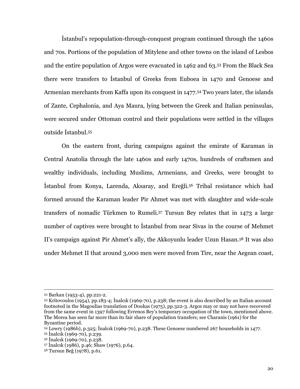Istanbul's repopulation-through-conquest program continued through the 1460s and 70s. Portions of the population of Mitylene and other towns on the island of Lesbos and the entire population of Argos were evacuated in 1462 and 63.53 From the Black Sea there were transfers to Istanbul of Greeks from Euboea in 1470 and Genoese and Armenian merchants from Kaffa upon its conquest in 1477.<sup>54</sup> Two years later, the islands of Zante, Cephalonia, and Aya Maura, lying between the Greek and Italian peninsulas, were secured under Ottoman control and their populations were settled in the villages outside Istanbul.<sup>55</sup>

On the eastern front, during campaigns against the emirate of Karaman in Central Anatolia through the late 1460s and early 1470s, hundreds of craftsmen and wealthy individuals, including Muslims, Armenians, and Greeks, were brought to İstanbul from Konya, Larenda, Aksaray, and Ereğli.<sup>56</sup> Tribal resistance which had formed around the Karaman leader Pir Ahmet was met with slaughter and wide-scale transfers of nomadic Türkmen to Rumeli.<sup>57</sup> Tursun Bey relates that in 1473 a large number of captives were brought to Istanbul from near Sivas in the course of Mehmet II's campaign against Pir Ahmet's ally, the Akkoyunlu leader Uzun Hasan.<sup>58</sup> It was also under Mehmet II that around 3,000 men were moved from Tire, near the Aegean coast,

<sup>&</sup>lt;sup>52</sup> Barkan (1953-4), pp.221-2.

<sup>&</sup>lt;sup>53</sup> Kritovoulos (1954), pp.183-4; Inalcik (1969-70), p.238; the event is also described by an Italian account footnoted in the Magoulias translation of Doukas (1975), pp.322-3. Argos may or may not have recovered from the same event in 1397 following Evrenos Bey's temporary occupation of the town, mentioned above. The Morea has seen far more than its fair share of population transfers; see Charanis (1961) for the Byzantine period.

 $54$  Lowry (1986b), p.325; Inalcik (1969-70), p.238. These Genoese numbered 267 households in 1477.

<sup>55</sup> Inalcik (1969-70), p.239.

<sup>&</sup>lt;sup>56</sup> Inalcik (1969-70), p.238.

<sup>&</sup>lt;sup>57</sup> Inalcik (1986), p.46; Shaw (1976), p.64.

<sup>&</sup>lt;sup>58</sup> Tursun Beğ (1978), p.61.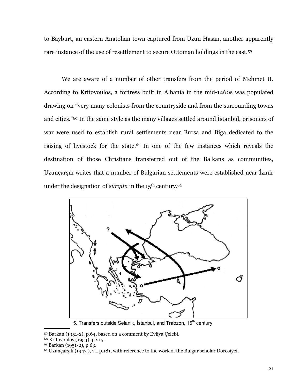to Bayburt, an eastern Anatolian town captured from Uzun Hasan, another apparently rare instance of the use of resettlement to secure Ottoman holdings in the east.<sup>59</sup>

We are aware of a number of other transfers from the period of Mehmet II. According to Kritovoulos, a fortress built in Albania in the mid-1460s was populated drawing on "very many colonists from the countryside and from the surrounding towns and cities."<sup>60</sup> In the same style as the many villages settled around Istanbul, prisoners of war were used to establish rural settlements near Bursa and Biga dedicated to the raising of livestock for the state.<sup>61</sup> In one of the few instances which reveals the destination of those Christians transferred out of the Balkans as communities, Uzunçarşılı writes that a number of Bulgarian settlements were established near İzmir under the designation of *sürgün* in the 15<sup>th</sup> century.<sup>62</sup>



5. Transfers outside Selanik, İstanbul, and Trabzon, 15<sup>th</sup> century

<sup>59</sup> Barkan (1951-2), p.64, based on a comment by Evliya Çelebi.

<sup>60</sup> Kritovoulos (1954), p.215.

<sup>61</sup> Barkan (1951-2), p.63.

 $62$  Uzuncarsili (1947), v.1 p.181, with reference to the work of the Bulgar scholar Dorosiyef.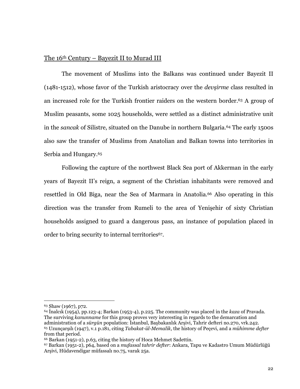### The 16th Century – Bayezit II to Murad III

The movement of Muslims into the Balkans was continued under Bayezit II (1481-1512), whose favor of the Turkish aristocracy over the *devsirme* class resulted in an increased role for the Turkish frontier raiders on the western border.<sup>63</sup> A group of Muslim peasants, some 1025 households, were settled as a distinct administrative unit in the sancak of Silistre, situated on the Danube in northern Bulgaria.<sup>64</sup> The early 1500s also saw the transfer of Muslims from Anatolian and Balkan towns into territories in Serbia and Hungary.<sup>65</sup>

Following the capture of the northwest Black Sea port of Akkerman in the early years of Bayezit II's reign, a segment of the Christian inhabitants were removed and resettled in Old Biga, near the Sea of Marmara in Anatolia.<sup>66</sup> Also operating in this direction was the transfer from Rumeli to the area of Yenişehir of sixty Christian households assigned to guard a dangerous pass, an instance of population placed in order to bring security to internal territories<sup>67</sup>.

<sup>63</sup> Shaw (1967), p72.

<sup>&</sup>lt;sup>64</sup> Inalcik (1954), pp.123-4; Barkan (1953-4), p.225. The community was placed in the kaza of Pravada. The surviving kanunname for this group proves very interesting in regards to the demarcation and administration of a sürgün population: İstanbul, Başbakanlık Arşivi, Tahrir defteri no.270, vrk.242. <sup>65</sup> Uzuncarsılı (1947), v.1 p.181, citing Tabakat-ül-Memalik, the history of Pecevi, and a mühimme defter from that period.

<sup>&</sup>lt;sup>66</sup> Barkan (1951-2), p.63, citing the history of Hoca Mehmet Sadettin.

<sup>67</sup> Barkan (1951-2), p64, based on a *mufassal tahrir defter*: Ankara, Tapu ve Kadastro Umum Müdürlüğü Arşivi, Hüdavendigar müfassalı no.75, varak 25a.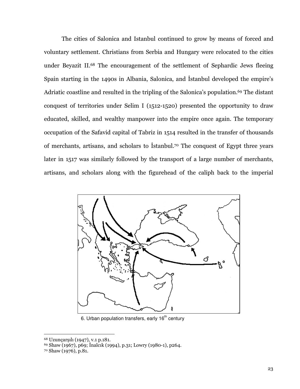The cities of Salonica and Istanbul continued to grow by means of forced and voluntary settlement. Christians from Serbia and Hungary were relocated to the cities under Beyazit II.<sup>68</sup> The encouragement of the settlement of Sephardic Jews fleeing Spain starting in the 1490s in Albania, Salonica, and Istanbul developed the empire's Adriatic coastline and resulted in the tripling of the Salonica's population.<sup>69</sup> The distant conquest of territories under Selim I (1512-1520) presented the opportunity to draw educated, skilled, and wealthy manpower into the empire once again. The temporary occupation of the Safavid capital of Tabriz in 1514 resulted in the transfer of thousands of merchants, artisans, and scholars to Istanbul.<sup>70</sup> The conquest of Egypt three years later in 1517 was similarly followed by the transport of a large number of merchants, artisans, and scholars along with the figurehead of the caliph back to the imperial



6. Urban population transfers, early 16<sup>th</sup> century

<sup>68</sup> Uzunçarşılı (1947), v.1 p.181.

<sup>&</sup>lt;sup>69</sup> Shaw (1967), p69; İnalcık (1994), p.31; Lowry (1980-1), p264.

 $70$  Shaw (1976), p.81.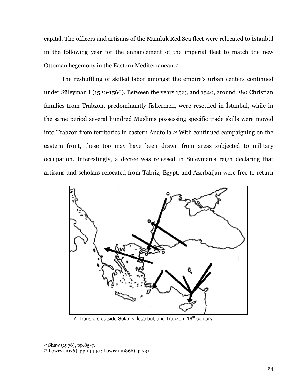capital. The officers and artisans of the Mamluk Red Sea fleet were relocated to Istanbul in the following year for the enhancement of the imperial fleet to match the new Ottoman hegemony in the Eastern Mediterranean.<sup>71</sup>

The reshuffling of skilled labor amongst the empire's urban centers continued under Süleyman I (1520-1566). Between the years 1523 and 1540, around 280 Christian families from Trabzon, predominantly fishermen, were resettled in Istanbul, while in the same period several hundred Muslims possessing specific trade skills were moved into Trabzon from territories in eastern Anatolia.<sup>72</sup> With continued campaigning on the eastern front, these too may have been drawn from areas subjected to military occupation. Interestingly, a decree was released in Süleyman's reign declaring that artisans and scholars relocated from Tabriz, Egypt, and Azerbaijan were free to return



7. Transfers outside Selanik, İstanbul, and Trabzon, 16<sup>th</sup> century

<sup>71</sup> Shaw (1976), pp.85-7.

<sup>&</sup>lt;sup>72</sup> Lowry (1976), pp.144-51; Lowry (1986b), p.331.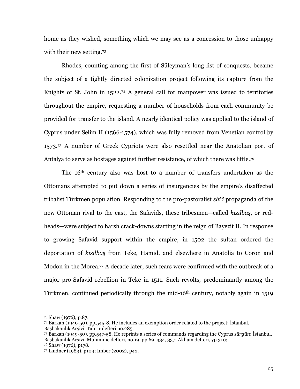home as they wished, something which we may see as a concession to those unhappy with their new setting.73

Rhodes, counting among the first of Süleyman's long list of conquests, became the subject of a tightly directed colonization project following its capture from the Knights of St. John in 1522.<sup>74</sup> A general call for manpower was issued to territories throughout the empire, requesting a number of households from each community be provided for transfer to the island. A nearly identical policy was applied to the island of Cyprus under Selim II (1566-1574), which was fully removed from Venetian control by 1573.75 A number of Greek Cypriots were also resettled near the Anatolian port of Antalya to serve as hostages against further resistance, of which there was little.<sup>76</sup>

The 16<sup>th</sup> century also was host to a number of transfers undertaken as the Ottomans attempted to put down a series of insurgencies by the empire's disaffected tribalist Türkmen population. Responding to the pro-pastoralist *shi*'i propaganda of the new Ottoman rival to the east, the Safavids, these tribesmen—called kizilbaş, or redheads—were subject to harsh crack-downs starting in the reign of Bayezit II. In response to growing Safavid support within the empire, in 1502 the sultan ordered the deportation of kizilbaş from Teke, Hamid, and elsewhere in Anatolia to Coron and Modon in the Morea.<sup>77</sup> A decade later, such fears were confirmed with the outbreak of a major pro-Safavid rebellion in Teke in 1511. Such revolts, predominantly among the Türkmen, continued periodically through the mid-16<sup>th</sup> century, notably again in 1519

<sup>76</sup> Shaw (1976), p178.

<sup>&</sup>lt;sup>73</sup> Shaw (1976), p.87.

<sup>&</sup>lt;sup>74</sup> Barkan (1949-50), pp.545-8. He includes an exemption order related to the project: Istanbul, Basbakanlık Arsivi, Tahrir defteri no.285.

<sup>75</sup> Barkan (1949-50), pp.547-58. He reprints a series of commands regarding the Cyprus sürgün: İstanbul, Başbakanlık Arşivi, Mühimme defteri, no.19, pp.69, 334, 337; Akham defteri, yp.310;

<sup>77</sup> Lindner (1983), p109; Imber (2002), p42.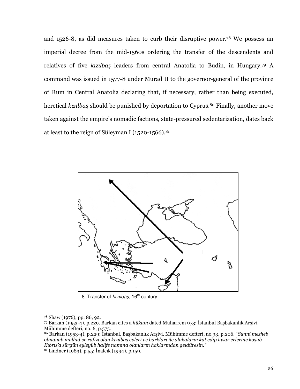and 1526-8, as did measures taken to curb their disruptive power.<sup>78</sup> We possess an imperial decree from the mid-1560s ordering the transfer of the descendents and relatives of five kizilbaş leaders from central Anatolia to Budin, in Hungary.79 A command was issued in 1577-8 under Murad II to the governor-general of the province of Rum in Central Anatolia declaring that, if necessary, rather than being executed, heretical kizilbas should be punished by deportation to Cyprus.<sup>80</sup> Finally, another move taken against the empire's nomadic factions, state-pressured sedentarization, dates back at least to the reign of Süleyman I ( $1520-1566$ ).<sup>81</sup>



8. Transfer of kizilbaş, 16<sup>th</sup> century

<sup>&</sup>lt;sup>78</sup> Shaw (1976), pp. 86, 92.

<sup>&</sup>lt;sup>79</sup> Barkan (1953-4), p.229. Barkan cites a *hüküm* dated Muharrem 973: İstanbul Başbakanlık Arşivi, Mühimme defteri, no. 6, p.575.

<sup>80</sup> Barkan (1953-4), p.229; İstanbul, Başbakanlık Arşivi, Mühimme defteri, no.33, p.206. "Sunni mezheb olmayub mülhid ve rafizi olan kızılbaş evleri ve barkları ile alakaların kat edip hisar erlerine koşub Kıbrıs'a sürgün eyleyüb halife namına olanların haklarından geldüresin."

 $81$  Lindner (1983), p.55; Inalcik (1994), p.159.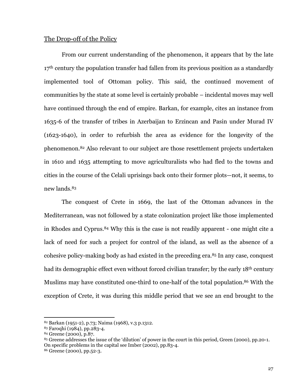### The Drop-off of the Policy

From our current understanding of the phenomenon, it appears that by the late 17<sup>th</sup> century the population transfer had fallen from its previous position as a standardly implemented tool of Ottoman policy. This said, the continued movement of communities by the state at some level is certainly probable – incidental moves may well have continued through the end of empire. Barkan, for example, cites an instance from 1635-6 of the transfer of tribes in Azerbaijan to Erzincan and Pasin under Murad IV (1623-1640), in order to refurbish the area as evidence for the longevity of the phenomenon.<sup>82</sup> Also relevant to our subject are those resettlement projects undertaken in 1610 and 1635 attempting to move agriculturalists who had fled to the towns and cities in the course of the Celali uprisings back onto their former plots—not, it seems, to new lands.<sup>83</sup>

The conquest of Crete in 1669, the last of the Ottoman advances in the Mediterranean, was not followed by a state colonization project like those implemented in Rhodes and Cyprus.<sup>84</sup> Why this is the case is not readily apparent - one might cite a lack of need for such a project for control of the island, as well as the absence of a cohesive policy-making body as had existed in the preceding era.<sup>85</sup> In any case, conquest had its demographic effect even without forced civilian transfer; by the early 18<sup>th</sup> century Muslims may have constituted one-third to one-half of the total population.<sup>86</sup> With the exception of Crete, it was during this middle period that we see an end brought to the

<sup>82</sup> Barkan (1951-2), p.73; Naima (1968), v.3 p.1312.

<sup>83</sup> Faroqhi (1984), pp.283-4.

<sup>84</sup> Greene (2000), p.87.

<sup>&</sup>lt;sup>85</sup> Greene addresses the issue of the 'dilution' of power in the court in this period, Green (2000), pp.20-1. On specific problems in the capital see Imber (2002), pp.83-4.

<sup>&</sup>lt;sup>86</sup> Greene (2000), pp.52-3.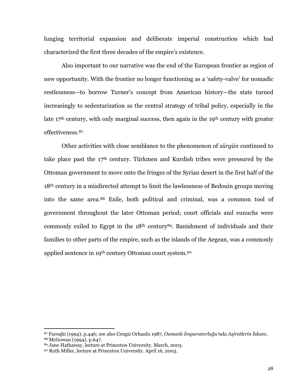lunging territorial expansion and deliberate imperial construction which had characterized the first three decades of the empire's existence.

Also important to our narrative was the end of the European frontier as region of new opportunity. With the frontier no longer functioning as a 'safety-valve' for nomadic restlessness-to borrow Turner's concept from American history-the state turned increasingly to sedentarization as the central strategy of tribal policy, especially in the late 17<sup>th</sup> century, with only marginal success, then again in the 19<sup>th</sup> century with greater effectiveness.<sup>87</sup>

Other activities with close semblance to the phenomenon of sürgün continued to take place past the 17<sup>th</sup> century. Türkmen and Kurdish tribes were pressured by the Ottoman government to move onto the fringes of the Syrian desert in the first half of the 18<sup>th</sup> century in a misdirected attempt to limit the lawlessness of Bedouin groups moving into the same area.<sup>88</sup> Exile, both political and criminal, was a common tool of government throughout the later Ottoman period; court officials and eunuchs were commonly exiled to Egypt in the 18<sup>th</sup> century<sup>89</sup>. Banishment of individuals and their families to other parts of the empire, such as the islands of the Aegean, was a commonly applied sentence in 19<sup>th</sup> century Ottoman court system.<sup>90</sup>

<sup>87</sup> Faroqhi (1994), p.446; see also Cengiz Orhanlu 1987, Osmanlı İmparatorluğu'nda Asiretlerin İskanı. <sup>88</sup> McGowan (1994), p.647.

<sup>89</sup> Jane Hathaway, lecture at Princeton University. March, 2003.

<sup>90</sup> Ruth Miller, lecture at Princeton University. April 16, 2003.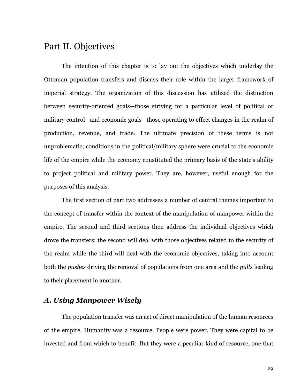## Part II. Objectives

The intention of this chapter is to lay out the objectives which underlay the Ottoman population transfers and discuss their role within the larger framework of imperial strategy. The organization of this discussion has utilized the distinction between security-oriented goals—those striving for a particular level of political or military control—and economic goals—those operating to effect changes in the realm of production, revenue, and trade. The ultimate precision of these terms is not unproblematic; conditions in the political/military sphere were crucial to the economic life of the empire while the economy constituted the primary basis of the state's ability to project political and military power. They are, however, useful enough for the purposes of this analysis.

The first section of part two addresses a number of central themes important to the concept of transfer within the context of the manipulation of manpower within the empire. The second and third sections then address the individual objectives which drove the transfers; the second will deal with those objectives related to the security of the realm while the third will deal with the economic objectives, taking into account both the pushes driving the removal of populations from one area and the pulls leading to their placement in another.

### A. Using Manpower Wisely

The population transfer was an act of direct manipulation of the human resources of the empire. Humanity was a resource. People were power. They were capital to be invested and from which to benefit. But they were a peculiar kind of resource, one that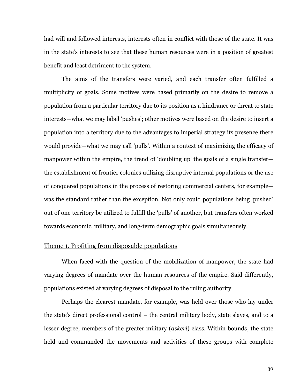had will and followed interests, interests often in conflict with those of the state. It was in the state's interests to see that these human resources were in a position of greatest benefit and least detriment to the system.

The aims of the transfers were varied, and each transfer often fulfilled a multiplicity of goals. Some motives were based primarily on the desire to remove a population from a particular territory due to its position as a hindrance or threat to state interests—what we may label 'pushes'; other motives were based on the desire to insert a population into a territory due to the advantages to imperial strategy its presence there would provide—what we may call 'pulls'. Within a context of maximizing the efficacy of manpower within the empire, the trend of 'doubling up' the goals of a single transferthe establishment of frontier colonies utilizing disruptive internal populations or the use of conquered populations in the process of restoring commercial centers, for example was the standard rather than the exception. Not only could populations being 'pushed' out of one territory be utilized to fulfill the 'pulls' of another, but transfers often worked towards economic, military, and long-term demographic goals simultaneously.

### Theme 1. Profiting from disposable populations

When faced with the question of the mobilization of manpower, the state had varying degrees of mandate over the human resources of the empire. Said differently, populations existed at varying degrees of disposal to the ruling authority.

Perhaps the clearest mandate, for example, was held over those who lay under the state's direct professional control – the central military body, state slaves, and to a lesser degree, members of the greater military (*askeri*) class. Within bounds, the state held and commanded the movements and activities of these groups with complete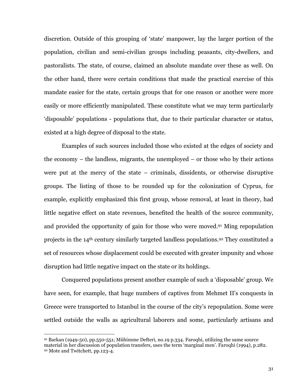discretion. Outside of this grouping of 'state' manpower, lay the larger portion of the population, civilian and semi-civilian groups including peasants, city-dwellers, and pastoralists. The state, of course, claimed an absolute mandate over these as well. On the other hand, there were certain conditions that made the practical exercise of this mandate easier for the state, certain groups that for one reason or another were more easily or more efficiently manipulated. These constitute what we may term particularly 'disposable' populations - populations that, due to their particular character or status, existed at a high degree of disposal to the state.

Examples of such sources included those who existed at the edges of society and the economy  $-$  the landless, migrants, the unemployed  $-$  or those who by their actions were put at the mercy of the state  $-$  criminals, dissidents, or otherwise disruptive groups. The listing of those to be rounded up for the colonization of Cyprus, for example, explicitly emphasized this first group, whose removal, at least in theory, had little negative effect on state revenues, benefited the health of the source community, and provided the opportunity of gain for those who were moved.<sup>91</sup> Ming repopulation projects in the 14<sup>th</sup> century similarly targeted landless populations.<sup>92</sup> They constituted a set of resources whose displacement could be executed with greater impunity and whose disruption had little negative impact on the state or its holdings.

Conquered populations present another example of such a 'disposable' group. We have seen, for example, that huge numbers of captives from Mehmet II's conquests in Greece were transported to Istanbul in the course of the city's repopulation. Some were settled outside the walls as agricultural laborers and some, particularly artisans and

 $91$  Barkan (1949-50), pp.550-551; Mühimme Defteri, no.19 p.334. Faroqhi, utilizing the same source material in her discussion of population transfers, uses the term 'marginal men'. Faroqhi (1994), p.282. 92 Mote and Twitchett, pp.123-4.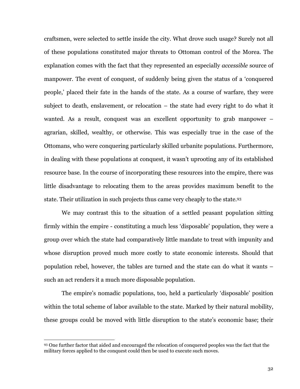craftsmen, were selected to settle inside the city. What drove such usage? Surely not all of these populations constituted major threats to Ottoman control of the Morea. The explanation comes with the fact that they represented an especially *accessible* source of manpower. The event of conquest, of suddenly being given the status of a 'conquered people,' placed their fate in the hands of the state. As a course of warfare, they were subject to death, enslavement, or relocation – the state had every right to do what it wanted. As a result, conquest was an excellent opportunity to grab manpower – agrarian, skilled, wealthy, or otherwise. This was especially true in the case of the Ottomans, who were conquering particularly skilled urbanite populations. Furthermore, in dealing with these populations at conquest, it wasn't uprooting any of its established resource base. In the course of incorporating these resources into the empire, there was little disadvantage to relocating them to the areas provides maximum benefit to the state. Their utilization in such projects thus came very cheaply to the state.93

We may contrast this to the situation of a settled peasant population sitting firmly within the empire - constituting a much less 'disposable' population, they were a group over which the state had comparatively little mandate to treat with impunity and whose disruption proved much more costly to state economic interests. Should that population rebel, however, the tables are turned and the state can do what it wants – such an act renders it a much more disposable population.

The empire's nomadic populations, too, held a particularly 'disposable' position within the total scheme of labor available to the state. Marked by their natural mobility, these groups could be moved with little disruption to the state's economic base; their

<sup>93</sup> One further factor that aided and encouraged the relocation of conquered peoples was the fact that the military forces applied to the conquest could then be used to execute such moves.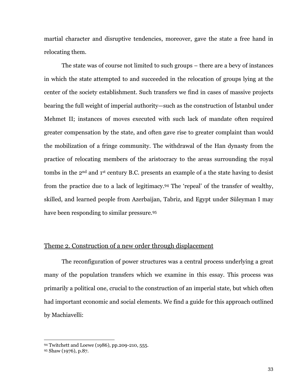martial character and disruptive tendencies, moreover, gave the state a free hand in relocating them.

The state was of course not limited to such groups – there are a bevy of instances in which the state attempted to and succeeded in the relocation of groups lying at the center of the society establishment. Such transfers we find in cases of massive projects bearing the full weight of imperial authority—such as the construction of Istanbul under Mehmet II; instances of moves executed with such lack of mandate often required greater compensation by the state, and often gave rise to greater complaint than would the mobilization of a fringe community. The withdrawal of the Han dynasty from the practice of relocating members of the aristocracy to the areas surrounding the royal tombs in the 2<sup>nd</sup> and 1<sup>st</sup> century B.C. presents an example of a the state having to desist from the practice due to a lack of legitimacy.<sup>94</sup> The 'repeal' of the transfer of wealthy, skilled, and learned people from Azerbaijan, Tabriz, and Egypt under Süleyman I may have been responding to similar pressure.95

# Theme 2. Construction of a new order through displacement

The reconfiguration of power structures was a central process underlying a great many of the population transfers which we examine in this essay. This process was primarily a political one, crucial to the construction of an imperial state, but which often had important economic and social elements. We find a guide for this approach outlined by Machiavelli:

<sup>94</sup> Twitchett and Loewe (1986), pp.209-210, 555.

<sup>95</sup> Shaw (1976), p.87.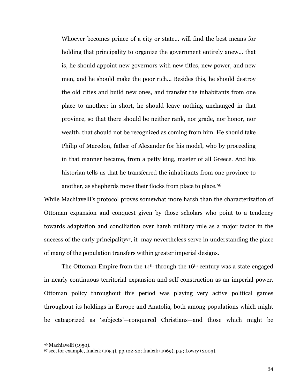Whoever becomes prince of a city or state... will find the best means for holding that principality to organize the government entirely anew... that is, he should appoint new governors with new titles, new power, and new men, and he should make the poor rich... Besides this, he should destroy the old cities and build new ones, and transfer the inhabitants from one place to another; in short, he should leave nothing unchanged in that province, so that there should be neither rank, nor grade, nor honor, nor wealth, that should not be recognized as coming from him. He should take Philip of Macedon, father of Alexander for his model, who by proceeding in that manner became, from a petty king, master of all Greece. And his historian tells us that he transferred the inhabitants from one province to another, as shepherds move their flocks from place to place.96

While Machiavelli's protocol proves somewhat more harsh than the characterization of Ottoman expansion and conquest given by those scholars who point to a tendency towards adaptation and conciliation over harsh military rule as a major factor in the success of the early principality<sup>97</sup>, it may nevertheless serve in understanding the place of many of the population transfers within greater imperial designs.

The Ottoman Empire from the  $14<sup>th</sup>$  through the  $16<sup>th</sup>$  century was a state engaged in nearly continuous territorial expansion and self-construction as an imperial power. Ottoman policy throughout this period was playing very active political games throughout its holdings in Europe and Anatolia, both among populations which might be categorized as 'subjects'—conquered Christians—and those which might be

<sup>96</sup> Machiavelli (1950).

<sup>97</sup> see, for example, Inalcık (1954), pp.122-22; Inalcık (1969), p.5; Lowry (2003).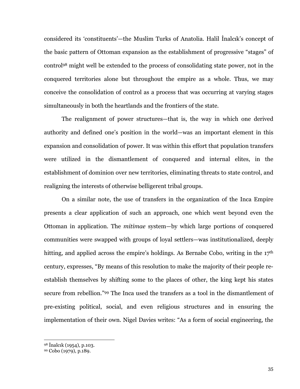considered its 'constituents'—the Muslim Turks of Anatolia. Halil Inalcik's concept of the basic pattern of Ottoman expansion as the establishment of progressive "stages" of control<sup>98</sup> might well be extended to the process of consolidating state power, not in the conquered territories alone but throughout the empire as a whole. Thus, we may conceive the consolidation of control as a process that was occurring at varying stages simultaneously in both the heartlands and the frontiers of the state.

The realignment of power structures—that is, the way in which one derived authority and defined one's position in the world—was an important element in this expansion and consolidation of power. It was within this effort that population transfers were utilized in the dismantlement of conquered and internal elites, in the establishment of dominion over new territories, eliminating threats to state control, and realigning the interests of otherwise belligerent tribal groups.

On a similar note, the use of transfers in the organization of the Inca Empire presents a clear application of such an approach, one which went beyond even the Ottoman in application. The *mitimae* system—by which large portions of conquered communities were swapped with groups of loyal settlers—was institutionalized, deeply hitting, and applied across the empire's holdings. As Bernabe Cobo, writing in the 17<sup>th</sup> century, expresses, "By means of this resolution to make the majority of their people reestablish themselves by shifting some to the places of other, the king kept his states secure from rebellion."99 The Inca used the transfers as a tool in the dismantlement of pre-existing political, social, and even religious structures and in ensuring the implementation of their own. Nigel Davies writes: "As a form of social engineering, the

<sup>98</sup> Inalcik (1954), p.103.

<sup>99</sup> Cobo (1979), p.189.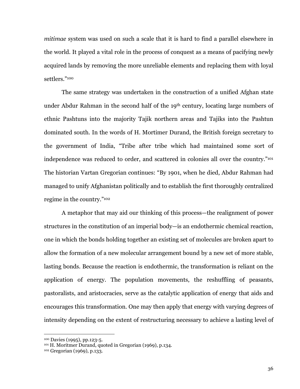mitimae system was used on such a scale that it is hard to find a parallel elsewhere in the world. It played a vital role in the process of conquest as a means of pacifying newly acquired lands by removing the more unreliable elements and replacing them with loyal settlers."100

The same strategy was undertaken in the construction of a unified Afghan state under Abdur Rahman in the second half of the 19<sup>th</sup> century, locating large numbers of ethnic Pashtuns into the majority Tajik northern areas and Tajiks into the Pashtun dominated south. In the words of H. Mortimer Durand, the British foreign secretary to the government of India, "Tribe after tribe which had maintained some sort of independence was reduced to order, and scattered in colonies all over the country."101 The historian Vartan Gregorian continues: "By 1901, when he died, Abdur Rahman had managed to unify Afghanistan politically and to establish the first thoroughly centralized regime in the country."<sup>102</sup>

A metaphor that may aid our thinking of this process—the realignment of power structures in the constitution of an imperial body—is an endothermic chemical reaction, one in which the bonds holding together an existing set of molecules are broken apart to allow the formation of a new molecular arrangement bound by a new set of more stable, lasting bonds. Because the reaction is endothermic, the transformation is reliant on the application of energy. The population movements, the reshuffling of peasants, pastoralists, and aristocracies, serve as the catalytic application of energy that aids and encourages this transformation. One may then apply that energy with varying degrees of intensity depending on the extent of restructuring necessary to achieve a lasting level of

<sup>&</sup>lt;sup>100</sup> Davies (1995), pp.123-5.

<sup>&</sup>lt;sup>101</sup> H. Moritmer Durand, quoted in Gregorian (1969), p.134.

<sup>&</sup>lt;sup>102</sup> Gregorian (1969), p.133.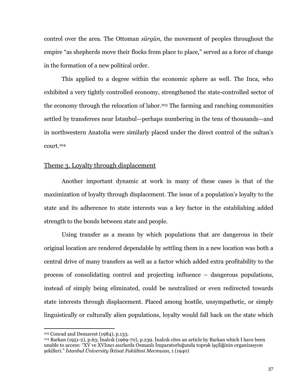control over the area. The Ottoman sürgün, the movement of peoples throughout the empire "as shepherds move their flocks from place to place," served as a force of change in the formation of a new political order.

This applied to a degree within the economic sphere as well. The Inca, who exhibited a very tightly controlled economy, strengthened the state-controlled sector of the economy through the relocation of labor.<sup>103</sup> The farming and ranching communities settled by transferees near Istanbul—perhaps numbering in the tens of thousands—and in northwestern Anatolia were similarly placed under the direct control of the sultan's court.<sup>104</sup>

# Theme 3. Lovalty through displacement

Another important dynamic at work in many of these cases is that of the maximization of loyalty through displacement. The issue of a population's loyalty to the state and its adherence to state interests was a key factor in the establishing added strength to the bonds between state and people.

Using transfer as a means by which populations that are dangerous in their original location are rendered dependable by settling them in a new location was both a central drive of many transfers as well as a factor which added extra profitability to the process of consolidating control and projecting influence – dangerous populations, instead of simply being eliminated, could be neutralized or even redirected towards state interests through displacement. Placed among hostile, unsympathetic, or simply linguistically or culturally alien populations, loyalty would fall back on the state which

<sup>&</sup>lt;sup>103</sup> Conrad and Demarest (1984), p.133.

<sup>&</sup>lt;sup>104</sup> Barkan (1951-2), p.63; İnalcık (1969-70), p.239. İnalcık cites an article by Barkan which I have been unable to access: "XV ve XVIInci asırlarda Osmanlı İmparatorluğunda toprak işçiliğinin organizasyon sekilleri." İstanbul Üniversity İktisat Fakültesi Mecmuası, 1 (1940)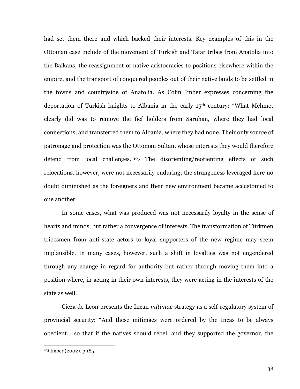had set them there and which backed their interests. Key examples of this in the Ottoman case include of the movement of Turkish and Tatar tribes from Anatolia into the Balkans, the reassignment of native aristocracies to positions elsewhere within the empire, and the transport of conquered peoples out of their native lands to be settled in the towns and countryside of Anatolia. As Colin Imber expresses concerning the deportation of Turkish knights to Albania in the early 15<sup>th</sup> century: "What Mehmet clearly did was to remove the fief holders from Saruhan, where they had local connections, and transferred them to Albania, where they had none. Their only source of patronage and protection was the Ottoman Sultan, whose interests they would therefore defend from local challenges."105 The disorienting/reorienting effects of such relocations, however, were not necessarily enduring; the strangeness leveraged here no doubt diminished as the foreigners and their new environment became accustomed to one another.

In some cases, what was produced was not necessarily loyalty in the sense of hearts and minds, but rather a convergence of interests. The transformation of Türkmen tribesmen from anti-state actors to loyal supporters of the new regime may seem implausible. In many cases, however, such a shift in loyalties was not engendered through any change in regard for authority but rather through moving them into a position where, in acting in their own interests, they were acting in the interests of the state as well.

Cieza de Leon presents the Incan *mitimae* strategy as a self-regulatory system of provincial security: "And these mitimaes were ordered by the Incas to be always obedient... so that if the natives should rebel, and they supported the governor, the

<sup>&</sup>lt;sup>105</sup> Imber (2002), p.185.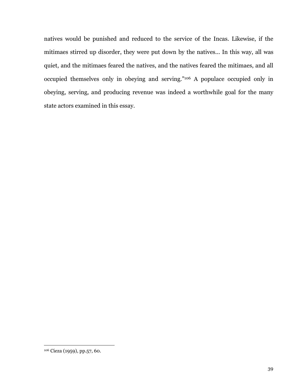natives would be punished and reduced to the service of the Incas. Likewise, if the mitimaes stirred up disorder, they were put down by the natives... In this way, all was quiet, and the mitimaes feared the natives, and the natives feared the mitimaes, and all occupied themselves only in obeying and serving."106 A populace occupied only in obeying, serving, and producing revenue was indeed a worthwhile goal for the many state actors examined in this essay.

<sup>&</sup>lt;sup>106</sup> Cieza (1959), pp.57, 60.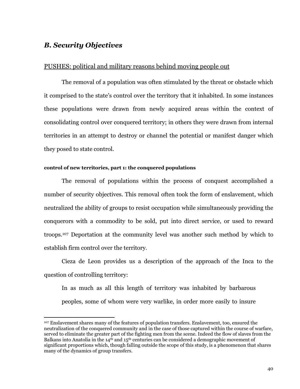# **B. Security Objectives**

# PUSHES: political and military reasons behind moving people out

The removal of a population was often stimulated by the threat or obstacle which it comprised to the state's control over the territory that it inhabited. In some instances these populations were drawn from newly acquired areas within the context of consolidating control over conquered territory; in others they were drawn from internal territories in an attempt to destroy or channel the potential or manifest danger which they posed to state control.

## control of new territories, part 1: the conquered populations

The removal of populations within the process of conquest accomplished a number of security objectives. This removal often took the form of enslavement, which neutralized the ability of groups to resist occupation while simultaneously providing the conquerors with a commodity to be sold, put into direct service, or used to reward troops.<sup>107</sup> Deportation at the community level was another such method by which to establish firm control over the territory.

Cieza de Leon provides us a description of the approach of the Inca to the question of controlling territory:

In as much as all this length of territory was inhabited by barbarous peoples, some of whom were very warlike, in order more easily to insure

<sup>&</sup>lt;sup>107</sup> Enslayement shares many of the features of population transfers. Enslayement, too, ensured the neutralization of the conquered community and in the case of those captured within the course of warfare, served to eliminate the greater part of the fighting men from the scene. Indeed the flow of slaves from the Balkans into Anatolia in the  $14<sup>th</sup>$  and  $15<sup>th</sup>$  centuries can be considered a demographic movement of significant proportions which, though falling outside the scope of this study, is a phenomenon that shares many of the dynamics of group transfers.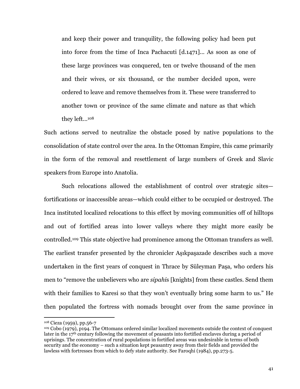and keep their power and tranquility, the following policy had been put into force from the time of Inca Pachacuti [d.1471]... As soon as one of these large provinces was conquered, ten or twelve thousand of the men and their wives, or six thousand, or the number decided upon, were ordered to leave and remove themselves from it. These were transferred to another town or province of the same climate and nature as that which they left...<sup>108</sup>

Such actions served to neutralize the obstacle posed by native populations to the consolidation of state control over the area. In the Ottoman Empire, this came primarily in the form of the removal and resettlement of large numbers of Greek and Slavic speakers from Europe into Anatolia.

Such relocations allowed the establishment of control over strategic sitesfortifications or inaccessible areas—which could either to be occupied or destroyed. The Inca instituted localized relocations to this effect by moving communities off of hilltops and out of fortified areas into lower valleys where they might more easily be controlled.<sup>109</sup> This state objective had prominence among the Ottoman transfers as well. The earliest transfer presented by the chronicler Aşıkpaşazade describes such a move undertaken in the first years of conquest in Thrace by Süleyman Paşa, who orders his men to "remove the unbelievers who are *sipahis* [knights] from these castles. Send them with their families to Karesi so that they won't eventually bring some harm to us." He then populated the fortress with nomads brought over from the same province in

<sup>108</sup> Cieza (1959), pp.56-7

<sup>&</sup>lt;sup>109</sup> Cobo (1979), p194. The Ottomans ordered similar localized movements outside the context of conquest later in the  $17<sup>th</sup>$  century following the movement of peasants into fortified enclaves during a period of uprisings. The concentration of rural populations in fortified areas was undesirable in terms of both security and the economy – such a situation kept peasantry away from their fields and provided the lawless with fortresses from which to defy state authority. See Faroqhi (1984), pp.273-5.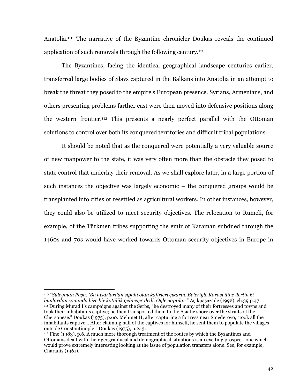Anatolia.<sup>110</sup> The narrative of the Byzantine chronicler Doukas reveals the continued application of such removals through the following century.<sup>111</sup>

The Byzantines, facing the identical geographical landscape centuries earlier, transferred large bodies of Slavs captured in the Balkans into Anatolia in an attempt to break the threat they posed to the empire's European presence. Syrians, Armenians, and others presenting problems farther east were then moved into defensive positions along the western frontier.<sup>112</sup> This presents a nearly perfect parallel with the Ottoman solutions to control over both its conquered territories and difficult tribal populations.

It should be noted that as the conquered were potentially a very valuable source of new manpower to the state, it was very often more than the obstacle they posed to state control that underlay their removal. As we shall explore later, in a large portion of such instances the objective was largely economic – the conquered groups would be transplanted into cities or resettled as agricultural workers. In other instances, however, they could also be utilized to meet security objectives. The relocation to Rumeli, for example, of the Türkmen tribes supporting the emir of Karaman subdued through the 1460s and 70s would have worked towards Ottoman security objectives in Europe in

<sup>110 &</sup>quot;Süleyman Pasa: 'Bu hisarlardan sipahi olan kafirleri cıkarın. Evleriyle Karası iline ilertin ki bunlardan sonunda bize bir kötülük gelmeye'dedi. Öyle yaptılar." Asıkpasazade (1992), ch.39 p.47. <sup>111</sup> During Murad I's campaigns against the Serbs, "he destroyed many of their fortresses and towns and took their inhabitants captive; he then transported them to the Asiatic shore over the straits of the Chersonese." Doukas (1975), p.60. Mehmet II, after capturing a fortress near Smederovo, "took all the inhabitants captive... After claiming half of the captives for himself, he sent them to populate the villages outside Constantinople." Doukas (1975), p.243.

 $112$  Fine (1983), p.6. A much more thorough treatment of the routes by which the Byzantines and Ottomans dealt with their geographical and demographical situations is an exciting prospect, one which would prove extremely interesting looking at the issue of population transfers alone. See, for example, Charanis (1961).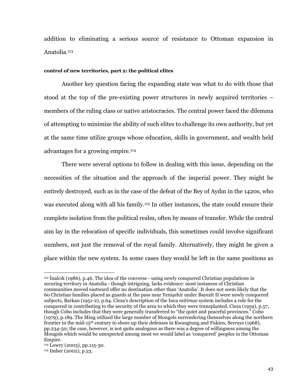addition to eliminating a serious source of resistance to Ottoman expansion in Anatolia.<sup>113</sup>

#### control of new territories, part 2: the political elites

Another key question facing the expanding state was what to do with those that stood at the top of the pre-existing power structures in newly acquired territories – members of the ruling class or native aristocracies. The central power faced the dilemma of attempting to minimize the ability of such elites to challenge its own authority, but vet at the same time utilize groups whose education, skills in government, and wealth held advantages for a growing empire.<sup>114</sup>

There were several options to follow in dealing with this issue, depending on the necessities of the situation and the approach of the imperial power. They might be entirely destroyed, such as in the case of the defeat of the Bey of Aydin in the 1420s, who was executed along with all his family.<sup>115</sup> In other instances, the state could ensure their complete isolation from the political realm, often by means of transfer. While the central aim lay in the relocation of specific individuals, this sometimes could involve significant numbers, not just the removal of the royal family. Alternatively, they might be given a place within the new system. In some cases they would be left in the same positions as

<sup>&</sup>lt;sup>113</sup> Inalcik (1986), p.46. The idea of the converse - using newly conquered Christian populations in securing territory in Anatolia - though intriguing, lacks evidence: most instances of Christian communities moved eastward offer no destination other than 'Anatolia'. It does not seem likely that the 60 Christian families placed as guards at the pass near Yenisehir under Bayezit II were newly conquered subjects, Barkan (1951-2), p.64. Cieza's description of the Inca *mitimae* system includes a role for the conquered in contributing to the security of the area to which they were transplanted, Cieza (1959), p.57, though Cobo includes that they were generally transferred to "the quiet and peaceful provinces." Cobo (1979), p.189. The Ming utilized the large number of Mongols surrendering themselves along the northern frontier in the mid-15<sup>th</sup> century to shore up their defenses in Kwangtung and Fukien, Serruys (1968), pp.234-50; the case, however, is not quite analogous as there was a degree of willingness among the Mongols which would be unexpected among most we would label as 'conquered' peoples in the Ottoman Empire.

<sup>&</sup>lt;sup>114</sup> Lowry (2003), pp.115-30.

<sup>&</sup>lt;sup>115</sup> Imber (2002), p.23.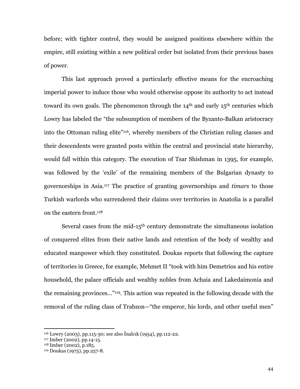before; with tighter control, they would be assigned positions elsewhere within the empire, still existing within a new political order but isolated from their previous bases of power.

This last approach proved a particularly effective means for the encroaching imperial power to induce those who would otherwise oppose its authority to act instead toward its own goals. The phenomenon through the  $14<sup>th</sup>$  and early  $15<sup>th</sup>$  centuries which Lowry has labeled the "the subsumption of members of the Byzanto-Balkan aristocracy into the Ottoman ruling elite"<sup>116</sup>, whereby members of the Christian ruling classes and their descendents were granted posts within the central and provincial state hierarchy, would fall within this category. The execution of Tsar Shishman in 1395, for example, was followed by the 'exile' of the remaining members of the Bulgarian dynasty to governorships in Asia.<sup>117</sup> The practice of granting governorships and *timars* to those Turkish warlords who surrendered their claims over territories in Anatolia is a parallel on the eastern front.<sup>118</sup>

Several cases from the mid-15<sup>th</sup> century demonstrate the simultaneous isolation of conquered elites from their native lands and retention of the body of wealthy and educated manpower which they constituted. Doukas reports that following the capture of territories in Greece, for example, Mehmet II "took with him Demetrios and his entire household, the palace officials and wealthy nobles from Achaia and Lakedaimonia and the remaining provinces..."<sup>119</sup>. This action was repeated in the following decade with the removal of the ruling class of Trabzon—"the emperor, his lords, and other useful men"

<sup>&</sup>lt;sup>116</sup> Lowry (2003), pp.115-30; see also Inalcik (1954), pp.112-22.

<sup>&</sup>lt;sup>117</sup> Imber (2002), pp.14-15.

<sup>&</sup>lt;sup>118</sup> Imber (2002), p.185.

<sup>&</sup>lt;sup>119</sup> Doukas (1975), pp.257-8.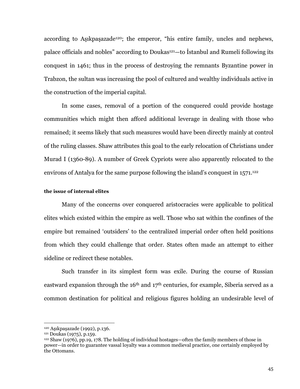according to Aşıkpaşazade<sup>120</sup>; the emperor, "his entire family, uncles and nephews, palace officials and nobles" according to Doukas<sup>121</sup>—to Istanbul and Rumeli following its conquest in 1461; thus in the process of destroying the remnants Byzantine power in Trabzon, the sultan was increasing the pool of cultured and wealthy individuals active in the construction of the imperial capital.

In some cases, removal of a portion of the conquered could provide hostage communities which might then afford additional leverage in dealing with those who remained; it seems likely that such measures would have been directly mainly at control of the ruling classes. Shaw attributes this goal to the early relocation of Christians under Murad I (1360-89). A number of Greek Cypriots were also apparently relocated to the environs of Antalya for the same purpose following the island's conquest in 1571.<sup>122</sup>

## the issue of internal elites

Many of the concerns over conquered aristocracies were applicable to political elites which existed within the empire as well. Those who sat within the confines of the empire but remained 'outsiders' to the centralized imperial order often held positions from which they could challenge that order. States often made an attempt to either sideline or redirect these notables.

Such transfer in its simplest form was exile. During the course of Russian eastward expansion through the  $16<sup>th</sup>$  and  $17<sup>th</sup>$  centuries, for example, Siberia served as a common destination for political and religious figures holding an undesirable level of

<sup>&</sup>lt;sup>120</sup> Aşıkpaşazade (1992), p.136.

<sup>&</sup>lt;sup>121</sup> Doukas (1975), p.159.

 $122$  Shaw (1976), pp.19, 178. The holding of individual hostages—often the family members of those in power—in order to guarantee vassal loyalty was a common medieval practice, one certainly employed by the Ottomans.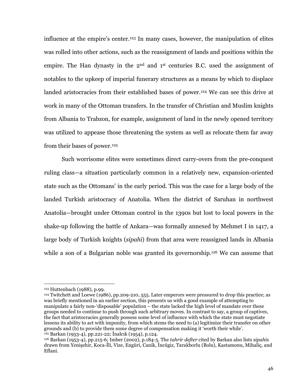influence at the empire's center.<sup>123</sup> In many cases, however, the manipulation of elites was rolled into other actions, such as the reassignment of lands and positions within the empire. The Han dynasty in the 2<sup>nd</sup> and 1<sup>st</sup> centuries B.C. used the assignment of notables to the upkeep of imperial funerary structures as a means by which to displace landed aristocracies from their established bases of power.<sup>124</sup> We can see this drive at work in many of the Ottoman transfers. In the transfer of Christian and Muslim knights from Albania to Trabzon, for example, assignment of land in the newly opened territory was utilized to appease those threatening the system as well as relocate them far away from their bases of power.<sup>125</sup>

Such worrisome elites were sometimes direct carry-overs from the pre-conquest ruling class—a situation particularly common in a relatively new, expansion-oriented state such as the Ottomans' in the early period. This was the case for a large body of the landed Turkish aristocracy of Anatolia. When the district of Saruhan in northwest Anatolia—brought under Ottoman control in the 1390s but lost to local powers in the shake-up following the battle of Ankara—was formally annexed by Mehmet I in 1417, a large body of Turkish knights *(sipahi)* from that area were reassigned lands in Albania while a son of a Bulgarian noble was granted its governorship.<sup>126</sup> We can assume that

<sup>&</sup>lt;sup>123</sup> Huttenbach (1988), p.99.

 $124$  Twitchett and Loewe (1986), pp.209-210, 555. Later emperors were pressured to drop this practice; as was briefly mentioned in an earlier section, this presents us with a good example of attempting to manipulate a fairly non-'disposable' population – the state lacked the high level of mandate over these groups needed to continue to push through such arbitrary moves. In contrast to say, a group of captives, the fact that aristocracies generally possess some level of influence with which the state must negotiate lessens its ability to act with impunity, from which stems the need to (a) legitimize their transfer on other grounds and (b) to provide them some degree of compensation making it 'worth their while'. <sup>125</sup> Barkan (1953-4), pp.221-22; Inalcik (1954), p.124.

<sup>&</sup>lt;sup>126</sup> Barkan (1953-4), pp.215-6; Imber (2002), p.184-5. The tahrir defter cited by Barkan also lists sipahis drawn from Yenişehir, Koca-İli, Vize, Engüri, Canik, İncügiz, Tarakborlu (Bolu), Kastamonu, Mihaliç, and Eflani.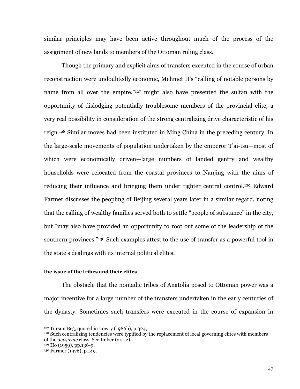similar principles may have been active throughout much of the process of the assignment of new lands to members of the Ottoman ruling class.

Though the primary and explicit aims of transfers executed in the course of urban reconstruction were undoubtedly economic. Mehmet II's "calling of notable persons by name from all over the empire,"<sup>127</sup> might also have presented the sultan with the opportunity of dislodging potentially troublesome members of the provincial elite, a very real possibility in consideration of the strong centralizing drive characteristic of his reign.<sup>128</sup> Similar moves had been instituted in Ming China in the preceding century. In the large-scale movements of population undertaken by the emperor T'ai-tsu—most of which were economically driven—large numbers of landed gentry and wealthy households were relocated from the coastal provinces to Nanjing with the aims of reducing their influence and bringing them under tighter central control.<sup>129</sup> Edward Farmer discusses the peopling of Beijing several years later in a similar regard, noting that the calling of wealthy families served both to settle "people of substance" in the city, but "may also have provided an opportunity to root out some of the leadership of the southern provinces."<sup>130</sup> Such examples attest to the use of transfer as a powerful tool in the state's dealings with its internal political elites.

## the issue of the tribes and their elites

The obstacle that the nomadic tribes of Anatolia posed to Ottoman power was a major incentive for a large number of the transfers undertaken in the early centuries of the dynasty. Sometimes such transfers were executed in the course of expansion in

 $127$  Tursun Beğ, quoted in Lowry (1986b), p.324,

<sup>&</sup>lt;sup>128</sup> Such centralizing tendencies were typified by the replacement of local governing elites with members of the *devsirme* class. See Imber (2002).

<sup>&</sup>lt;sup>129</sup> Ho (1959), pp.136-9.

<sup>&</sup>lt;sup>130</sup> Farmer (1976), p.149.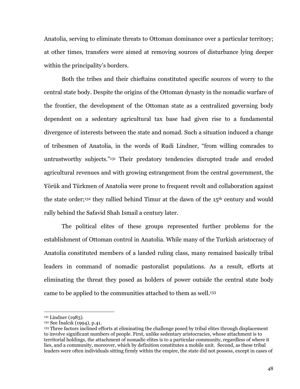Anatolia, serving to eliminate threats to Ottoman dominance over a particular territory; at other times, transfers were aimed at removing sources of disturbance lying deeper within the principality's borders.

Both the tribes and their chieftains constituted specific sources of worry to the central state body. Despite the origins of the Ottoman dynasty in the nomadic warfare of the frontier, the development of the Ottoman state as a centralized governing body dependent on a sedentary agricultural tax base had given rise to a fundamental divergence of interests between the state and nomad. Such a situation induced a change of tribesmen of Anatolia, in the words of Rudi Lindner, "from willing comrades to untrustworthy subjects."131 Their predatory tendencies disrupted trade and eroded agricultural revenues and with growing estrangement from the central government, the Yörük and Türkmen of Anatolia were prone to frequent revolt and collaboration against the state order;<sup>132</sup> they rallied behind Timur at the dawn of the 15<sup>th</sup> century and would rally behind the Safavid Shah Ismail a century later.

The political elites of these groups represented further problems for the establishment of Ottoman control in Anatolia. While many of the Turkish aristocracy of Anatolia constituted members of a landed ruling class, many remained basically tribal leaders in command of nomadic pastoralist populations. As a result, efforts at eliminating the threat they posed as holders of power outside the central state body came to be applied to the communities attached to them as well.<sup>133</sup>

<sup>&</sup>lt;sup>131</sup> Lindner (1983).

<sup>&</sup>lt;sup>132</sup> See Inalcik (1994), p.41.

<sup>&</sup>lt;sup>133</sup> Three factors inclined efforts at eliminating the challenge posed by tribal elites through displacement to involve significant numbers of people. First, unlike sedentary aristocracies, whose attachment is to territorial holdings, the attachment of nomadic elites is to a particular community, regardless of where it lies, and a community, moreover, which by definition constitutes a mobile unit. Second, as these tribal leaders were often individuals sitting firmly within the empire, the state did not possess, except in cases of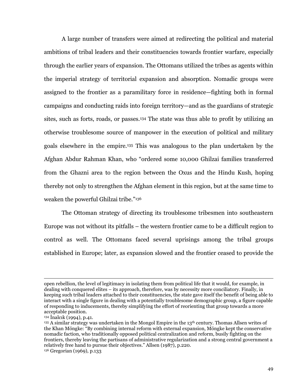A large number of transfers were aimed at redirecting the political and material ambitions of tribal leaders and their constituencies towards frontier warfare, especially through the earlier years of expansion. The Ottomans utilized the tribes as agents within the imperial strategy of territorial expansion and absorption. Nomadic groups were assigned to the frontier as a paramilitary force in residence—fighting both in formal campaigns and conducting raids into foreign territory—and as the guardians of strategic sites, such as forts, roads, or passes.<sup>134</sup> The state was thus able to profit by utilizing an otherwise troublesome source of manpower in the execution of political and military goals elsewhere in the empire.<sup>135</sup> This was analogous to the plan undertaken by the Afghan Abdur Rahman Khan, who "ordered some 10,000 Ghilzai families transferred from the Ghazni area to the region between the Oxus and the Hindu Kush, hoping thereby not only to strengthen the Afghan element in this region, but at the same time to weaken the powerful Ghilzai tribe."136

The Ottoman strategy of directing its troublesome tribesmen into southeastern Europe was not without its pitfalls – the western frontier came to be a difficult region to control as well. The Ottomans faced several uprisings among the tribal groups established in Europe; later, as expansion slowed and the frontier ceased to provide the

open rebellion, the level of legitimacy in isolating them from political life that it would, for example, in dealing with conquered elites – its approach, therefore, was by necessity more conciliatory. Finally, in keeping such tribal leaders attached to their constituencies, the state gave itself the benefit of being able to interact with a single figure in dealing with a potentially troublesome demographic group, a figure capable of responding to inducements, thereby simplifying the effort of reorienting that group towards a more acceptable position.

<sup>&</sup>lt;sup>134</sup> Inalcik (1994), p.41.

<sup>&</sup>lt;sup>135</sup> A similar strategy was undertaken in the Mongol Empire in the 13<sup>th</sup> century. Thomas Allsen writes of the Khan Möngke: "By combining internal reform with external expansion, Möngke kept the conservative nomadic faction, who traditionally opposed political centralization and reform, busily fighting on the frontiers, thereby leaving the partisans of administrative regularization and a strong central government a relatively free hand to pursue their objectives." Allsen (1987), p.220. <sup>136</sup> Gregorian (1969), p.133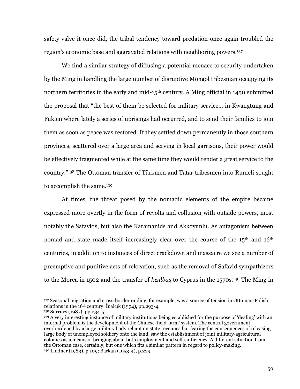safety valve it once did, the tribal tendency toward predation once again troubled the region's economic base and aggravated relations with neighboring powers.<sup>137</sup>

We find a similar strategy of diffusing a potential menace to security undertaken by the Ming in handling the large number of disruptive Mongol tribesman occupying its northern territories in the early and mid-15<sup>th</sup> century. A Ming official in 1450 submitted the proposal that "the best of them be selected for military service... in Kwangtung and Fukien where lately a series of uprisings had occurred, and to send their families to join them as soon as peace was restored. If they settled down permanently in those southern provinces, scattered over a large area and serving in local garrisons, their power would be effectively fragmented while at the same time they would render a great service to the country."<sup>138</sup> The Ottoman transfer of Türkmen and Tatar tribesmen into Rumeli sought to accomplish the same.<sup>139</sup>

At times, the threat posed by the nomadic elements of the empire became expressed more overtly in the form of revolts and collusion with outside powers, most notably the Safavids, but also the Karamanids and Akkoyunlu. As antagonism between nomad and state made itself increasingly clear over the course of the 15<sup>th</sup> and 16<sup>th</sup> centuries, in addition to instances of direct crackdown and massacre we see a number of preemptive and punitive acts of relocation, such as the removal of Safavid sympathizers to the Morea in 1502 and the transfer of kizilbas to Cyprus in the 1570s.<sup>140</sup> The Ming in

<sup>137</sup> Seasonal migration and cross-border raiding, for example, was a source of tension in Ottoman-Polish relations in the 16<sup>th</sup> century. Inalcik (1994), pp.293-4.

<sup>&</sup>lt;sup>138</sup> Surruys (1987), pp.234-5.

<sup>&</sup>lt;sup>139</sup> A very interesting instance of military institutions being established for the purpose of 'dealing' with an internal problem is the development of the Chinese 'field-farm' system. The central government, overburdened by a large military body reliant on state revenues but fearing the consequences of releasing large body of unemployed soldiery onto the land, saw the establishment of joint military-agricultural colonies as a means of bringing about both employment and self-sufficiency. A different situation from the Ottoman case, certainly, but one which fits a similar pattern in regard to policy-making. <sup>140</sup> Lindner (1983), p.109; Barkan (1953-4), p.229.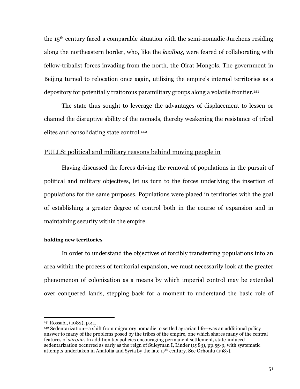the 15<sup>th</sup> century faced a comparable situation with the semi-nomadic Jurchens residing along the northeastern border, who, like the kizilbas, were feared of collaborating with fellow-tribalist forces invading from the north, the Oirat Mongols. The government in Beijing turned to relocation once again, utilizing the empire's internal territories as a depository for potentially traitorous paramilitary groups along a volatile frontier.<sup>141</sup>

The state thus sought to leverage the advantages of displacement to lessen or channel the disruptive ability of the nomads, thereby weakening the resistance of tribal elites and consolidating state control.<sup>142</sup>

## **PULLS:** political and military reasons behind moving people in

Having discussed the forces driving the removal of populations in the pursuit of political and military objectives, let us turn to the forces underlying the insertion of populations for the same purposes. Populations were placed in territories with the goal of establishing a greater degree of control both in the course of expansion and in maintaining security within the empire.

#### holding new territories

In order to understand the objectives of forcibly transferring populations into an area within the process of territorial expansion, we must necessarily look at the greater phenomenon of colonization as a means by which imperial control may be extended over conquered lands, stepping back for a moment to understand the basic role of

<sup>&</sup>lt;sup>141</sup> Rossabi, (1982), p.41.

<sup>&</sup>lt;sup>142</sup> Sedentarization—a shift from migratory nomadic to settled agrarian life—was an additional policy answer to many of the problems posed by the tribes of the empire, one which shares many of the central features of sürgün. In addition tax policies encouraging permanent settlement, state-induced sedentarization occurred as early as the reign of Suleyman I, Linder (1983), pp.55-9, with systematic attempts undertaken in Anatolia and Syria by the late 17th century. See Orhonlu (1987).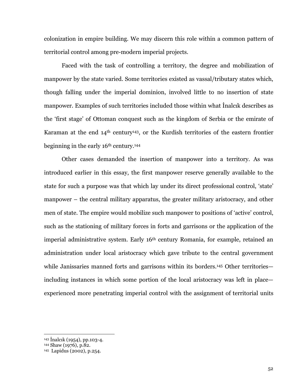colonization in empire building. We may discern this role within a common pattern of territorial control among pre-modern imperial projects.

Faced with the task of controlling a territory, the degree and mobilization of manpower by the state varied. Some territories existed as vassal/tributary states which, though falling under the imperial dominion, involved little to no insertion of state manpower. Examples of such territories included those within what Inalcik describes as the 'first stage' of Ottoman conquest such as the kingdom of Serbia or the emirate of Karaman at the end 14<sup>th</sup> century<sup>143</sup>, or the Kurdish territories of the eastern frontier beginning in the early 16<sup>th</sup> century.<sup>144</sup>

Other cases demanded the insertion of manpower into a territory. As was introduced earlier in this essay, the first manpower reserve generally available to the state for such a purpose was that which lay under its direct professional control, 'state' manpower – the central military apparatus, the greater military aristocracy, and other men of state. The empire would mobilize such manpower to positions of 'active' control, such as the stationing of military forces in forts and garrisons or the application of the imperial administrative system. Early 16<sup>th</sup> century Romania, for example, retained an administration under local aristocracy which gave tribute to the central government while Janissaries manned forts and garrisons within its borders.<sup>145</sup> Other territories including instances in which some portion of the local aristocracy was left in place experienced more penetrating imperial control with the assignment of territorial units

<sup>&</sup>lt;sup>143</sup> Inalcık (1954), pp.103-4.

<sup>144</sup> Shaw (1976), p.82.

<sup>145</sup> Lapidus (2002), p.254.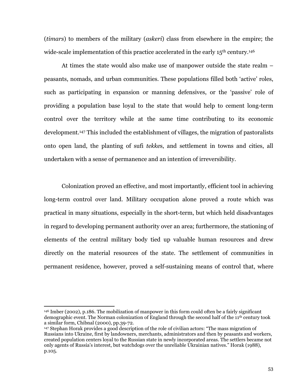(*timars*) to members of the military (*askeri*) class from elsewhere in the empire; the wide-scale implementation of this practice accelerated in the early 15<sup>th</sup> century.<sup>146</sup>

At times the state would also make use of manpower outside the state realm – peasants, nomads, and urban communities. These populations filled both 'active' roles, such as participating in expansion or manning defensives, or the 'passive' role of providing a population base loval to the state that would help to cement long-term control over the territory while at the same time contributing to its economic development.<sup>147</sup> This included the establishment of villages, the migration of pastoralists onto open land, the planting of sufi tekkes, and settlement in towns and cities, all undertaken with a sense of permanence and an intention of irreversibility.

Colonization proved an effective, and most importantly, efficient tool in achieving long-term control over land. Military occupation alone proved a route which was practical in many situations, especially in the short-term, but which held disadvantages in regard to developing permanent authority over an area; furthermore, the stationing of elements of the central military body tied up valuable human resources and drew directly on the material resources of the state. The settlement of communities in permanent residence, however, proved a self-sustaining means of control that, where

<sup>&</sup>lt;sup>146</sup> Imber (2002), p.186. The mobilization of manpower in this form could often be a fairly significant demographic event. The Norman colonization of England through the second half of the  $11<sup>th</sup>$  century took a similar form, Chibnal (2000), pp.39-72.

<sup>&</sup>lt;sup>147</sup> Stephan Horak provides a good description of the role of civilian actors: "The mass migration of Russians into Ukraine, first by landowners, merchants, administrators and then by peasants and workers, created population centers loyal to the Russian state in newly incorporated areas. The settlers became not only agents of Russia's interest, but watchdogs over the unreliable Ukrainian natives." Horak (1988), p.105.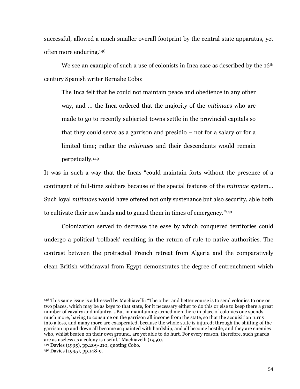successful, allowed a much smaller overall footprint by the central state apparatus, yet often more enduring.<sup>148</sup>

We see an example of such a use of colonists in Inca case as described by the 16<sup>th</sup> century Spanish writer Bernabe Cobo:

The Inca felt that he could not maintain peace and obedience in any other way, and ... the Inca ordered that the majority of the mitimales who are made to go to recently subjected towns settle in the provincial capitals so that they could serve as a garrison and presidio  $-$  not for a salary or for a limited time; rather the *mitimaes* and their descendants would remain perpetually.<sup>149</sup>

It was in such a way that the Incas "could maintain forts without the presence of a contingent of full-time soldiers because of the special features of the *mitimae* system... Such loyal mitimaes would have offered not only sustenance but also security, able both to cultivate their new lands and to guard them in times of emergency."<sup>150</sup>

Colonization served to decrease the ease by which conquered territories could undergo a political 'rollback' resulting in the return of rule to native authorities. The contrast between the protracted French retreat from Algeria and the comparatively clean British withdrawal from Egypt demonstrates the degree of entrenchment which

<sup>&</sup>lt;sup>148</sup> This same issue is addressed by Machiavelli: "The other and better course is to send colonies to one or two places, which may be as keys to that state, for it necessary either to do this or else to keep there a great number of cavalry and infantry....But in maintaining armed men there in place of colonies one spends much more, having to consume on the garrison all income from the state, so that the acquisition turns into a loss, and many more are exasperated, because the whole state is injured; through the shifting of the garrison up and down all become acquainted with hardship, and all become hostile, and they are enemies who, whilst beaten on their own ground, are yet able to do hurt. For every reason, therefore, such guards are as useless as a colony is useful." Machiavelli (1950).

<sup>&</sup>lt;sup>149</sup> Davies (1995), pp.209-210, quoting Cobo.

<sup>&</sup>lt;sup>150</sup> Davies (1995), pp.148-9.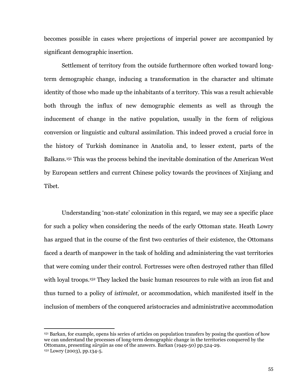becomes possible in cases where projections of imperial power are accompanied by significant demographic insertion.

Settlement of territory from the outside furthermore often worked toward longterm demographic change, inducing a transformation in the character and ultimate identity of those who made up the inhabitants of a territory. This was a result achievable both through the influx of new demographic elements as well as through the inducement of change in the native population, usually in the form of religious conversion or linguistic and cultural assimilation. This indeed proved a crucial force in the history of Turkish dominance in Anatolia and, to lesser extent, parts of the Balkans.<sup>151</sup> This was the process behind the inevitable domination of the American West by European settlers and current Chinese policy towards the provinces of Xinjiang and Tibet.

Understanding 'non-state' colonization in this regard, we may see a specific place for such a policy when considering the needs of the early Ottoman state. Heath Lowry has argued that in the course of the first two centuries of their existence, the Ottomans faced a dearth of manpower in the task of holding and administering the vast territories that were coming under their control. Fortresses were often destroyed rather than filled with loyal troops.<sup>152</sup> They lacked the basic human resources to rule with an iron fist and thus turned to a policy of *istimalet*, or accommodation, which manifested itself in the inclusion of members of the conquered aristocracies and administrative accommodation

<sup>&</sup>lt;sup>151</sup> Barkan, for example, opens his series of articles on population transfers by posing the question of how we can understand the processes of long-term demographic change in the territories conquered by the Ottomans, presenting sürgün as one of the answers. Barkan (1949-50) pp.524-29. <sup>152</sup> Lowry (2003), pp.134-5.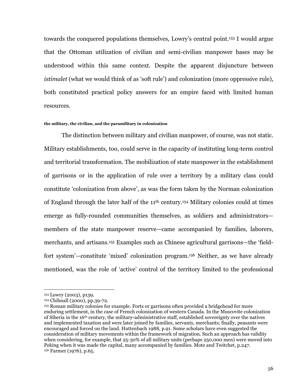towards the conquered populations themselves, Lowry's central point.<sup>153</sup> I would argue that the Ottoman utilization of civilian and semi-civilian manpower bases may be understood within this same context. Despite the apparent disjuncture between *istimalet* (what we would think of as 'soft rule') and colonization (more oppressive rule), both constituted practical policy answers for an empire faced with limited human resources.

#### the military, the civilian, and the paramilitary in colonization

The distinction between military and civilian manpower, of course, was not static. Military establishments, too, could serve in the capacity of instituting long-term control and territorial transformation. The mobilization of state manpower in the establishment of garrisons or in the application of rule over a territory by a military class could constitute 'colonization from above', as was the form taken by the Norman colonization of England through the later half of the 11<sup>th</sup> century.<sup>154</sup> Military colonies could at times emerge as fully-rounded communities themselves, as soldiers and administratorsmembers of the state manpower reserve—came accompanied by families, laborers, merchants, and artisans.<sup>155</sup> Examples such as Chinese agricultural garrisons—the 'fieldfort system'—constitute 'mixed' colonization program.<sup>156</sup> Neither, as we have already mentioned, was the role of 'active' control of the territory limited to the professional

<sup>&</sup>lt;sup>153</sup> Lowry (2003), p139.

<sup>154</sup> Chibnall (2000), pp.39-72.

<sup>155</sup> Roman military colonies for example. Forts or garrisons often provided a bridgehead for more enduring settlement, in the case of French colonization of western Canada. In the Muscovite colonization of Siberia in the 16<sup>th</sup> century, the military-administrative staff, established sovereignty over the natives and implemented taxation and were later joined by families, servants, merchants; finally, peasants were encouraged and forced on the land. Huttenbach 1988, p.91. Some scholars have even suggested the consideration of military movements within the framework of migration. Such an approach has validity when considering, for example, that 25-30% of all military units (perhaps 250,000 men) were moved into Peking when it was made the capital, many accompanied by families. Mote and Twitchet, p.247. <sup>156</sup> Farmer (1976), p.65.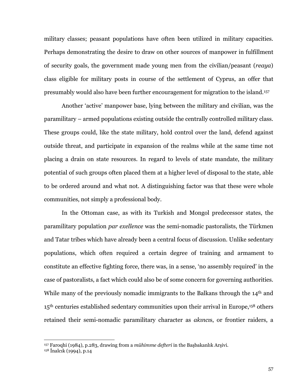military classes; peasant populations have often been utilized in military capacities. Perhaps demonstrating the desire to draw on other sources of manpower in fulfillment of security goals, the government made young men from the civilian/peasant (reaya) class eligible for military posts in course of the settlement of Cyprus, an offer that presumably would also have been further encouragement for migration to the island.<sup>157</sup>

Another 'active' manpower base, lying between the military and civilian, was the paramilitary – armed populations existing outside the centrally controlled military class. These groups could, like the state military, hold control over the land, defend against outside threat, and participate in expansion of the realms while at the same time not placing a drain on state resources. In regard to levels of state mandate, the military potential of such groups often placed them at a higher level of disposal to the state, able to be ordered around and what not. A distinguishing factor was that these were whole communities, not simply a professional body.

In the Ottoman case, as with its Turkish and Mongol predecessor states, the paramilitary population par exellence was the semi-nomadic pastoralists, the Türkmen and Tatar tribes which have already been a central focus of discussion. Unlike sedentary populations, which often required a certain degree of training and armament to constitute an effective fighting force, there was, in a sense, 'no assembly required' in the case of pastoralists, a fact which could also be of some concern for governing authorities. While many of the previously nomadic immigrants to the Balkans through the 14<sup>th</sup> and  $15<sup>th</sup>$  centuries established sedentary communities upon their arrival in Europe,<sup>158</sup> others retained their semi-nomadic paramilitary character as *akincis*, or frontier raiders, a

<sup>&</sup>lt;sup>157</sup> Faroqhi (1984), p.283, drawing from a mühimme defteri in the Başbakanlık Arşivi.

 $158$  Inalcik (1994), p.14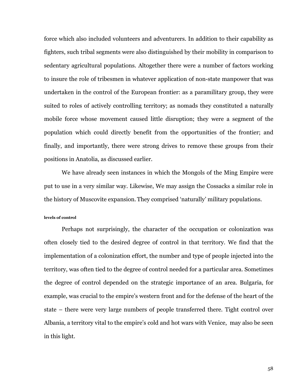force which also included volunteers and adventurers. In addition to their capability as fighters, such tribal segments were also distinguished by their mobility in comparison to sedentary agricultural populations. Altogether there were a number of factors working to insure the role of tribesmen in whatever application of non-state manpower that was undertaken in the control of the European frontier: as a paramilitary group, they were suited to roles of actively controlling territory; as nomads they constituted a naturally mobile force whose movement caused little disruption; they were a segment of the population which could directly benefit from the opportunities of the frontier; and finally, and importantly, there were strong drives to remove these groups from their positions in Anatolia, as discussed earlier.

We have already seen instances in which the Mongols of the Ming Empire were put to use in a very similar way. Likewise, We may assign the Cossacks a similar role in the history of Muscovite expansion. They comprised 'naturally' military populations.

#### levels of control

Perhaps not surprisingly, the character of the occupation or colonization was often closely tied to the desired degree of control in that territory. We find that the implementation of a colonization effort, the number and type of people injected into the territory, was often tied to the degree of control needed for a particular area. Sometimes the degree of control depended on the strategic importance of an area. Bulgaria, for example, was crucial to the empire's western front and for the defense of the heart of the state – there were very large numbers of people transferred there. Tight control over Albania, a territory vital to the empire's cold and hot wars with Venice, may also be seen in this light.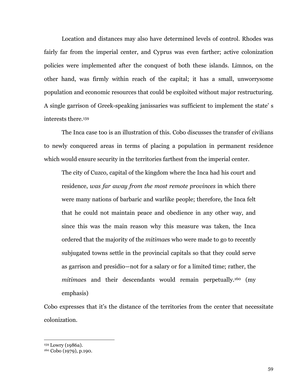Location and distances may also have determined levels of control. Rhodes was fairly far from the imperial center, and Cyprus was even farther; active colonization policies were implemented after the conquest of both these islands. Limnos, on the other hand, was firmly within reach of the capital; it has a small, unworrysome population and economic resources that could be exploited without major restructuring. A single garrison of Greek-speaking janissaries was sufficient to implement the state's interests there.<sup>159</sup>

The Inca case too is an illustration of this. Cobo discusses the transfer of civilians to newly conquered areas in terms of placing a population in permanent residence which would ensure security in the territories farthest from the imperial center.

The city of Cuzco, capital of the kingdom where the Inca had his court and residence, was far away from the most remote provinces in which there were many nations of barbaric and warlike people; therefore, the Inca felt that he could not maintain peace and obedience in any other way, and since this was the main reason why this measure was taken, the Inca ordered that the majority of the *mitimaes* who were made to go to recently subjugated towns settle in the provincial capitals so that they could serve as garrison and presidio—not for a salary or for a limited time; rather, the mitimaes and their descendants would remain perpetually.<sup>160</sup> (my emphasis)

Cobo expresses that it's the distance of the territories from the center that necessitate colonization.

<sup>&</sup>lt;sup>159</sup> Lowry (1986a).

<sup>&</sup>lt;sup>160</sup> Cobo (1979), p.190.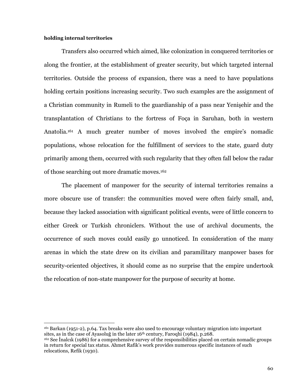## holding internal territories

Transfers also occurred which aimed, like colonization in conquered territories or along the frontier, at the establishment of greater security, but which targeted internal territories. Outside the process of expansion, there was a need to have populations holding certain positions increasing security. Two such examples are the assignment of a Christian community in Rumeli to the guardianship of a pass near Yenişehir and the transplantation of Christians to the fortress of Foca in Saruhan, both in western Anatolia.<sup>161</sup> A much greater number of moves involved the empire's nomadic populations, whose relocation for the fulfillment of services to the state, guard duty primarily among them, occurred with such regularity that they often fall below the radar of those searching out more dramatic moves.<sup>162</sup>

The placement of manpower for the security of internal territories remains a more obscure use of transfer: the communities moved were often fairly small, and, because they lacked association with significant political events, were of little concern to either Greek or Turkish chroniclers. Without the use of archival documents, the occurrence of such moves could easily go unnoticed. In consideration of the many arenas in which the state drew on its civilian and paramilitary manpower bases for security-oriented objectives, it should come as no surprise that the empire undertook the relocation of non-state manpower for the purpose of security at home.

<sup>&</sup>lt;sup>161</sup> Barkan (1951-2), p.64. Tax breaks were also used to encourage voluntary migration into important sites, as in the case of Ayasolug in the later 16<sup>th</sup> century, Faroghi (1984), p.268.

<sup>&</sup>lt;sup>162</sup> See Inalcik (1986) for a comprehensive survey of the responsibilities placed on certain nomadic groups in return for special tax status. Ahmet Rafik's work provides numerous specific instances of such relocations, Refik (1930).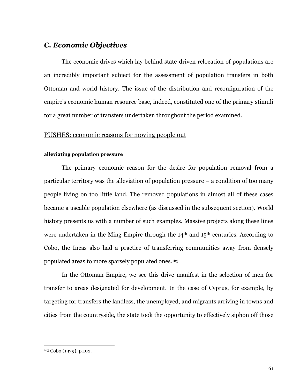# C. Economic Objectives

The economic drives which lay behind state-driven relocation of populations are an incredibly important subject for the assessment of population transfers in both Ottoman and world history. The issue of the distribution and reconfiguration of the empire's economic human resource base, indeed, constituted one of the primary stimuli for a great number of transfers undertaken throughout the period examined.

# PUSHES: economic reasons for moving people out

## alleviating population pressure

The primary economic reason for the desire for population removal from a particular territory was the alleviation of population pressure  $-$  a condition of too many people living on too little land. The removed populations in almost all of these cases became a useable population elsewhere (as discussed in the subsequent section). World history presents us with a number of such examples. Massive projects along these lines were undertaken in the Ming Empire through the  $14<sup>th</sup>$  and  $15<sup>th</sup>$  centuries. According to Cobo, the Incas also had a practice of transferring communities away from densely populated areas to more sparsely populated ones.<sup>163</sup>

In the Ottoman Empire, we see this drive manifest in the selection of men for transfer to areas designated for development. In the case of Cyprus, for example, by targeting for transfers the landless, the unemployed, and migrants arriving in towns and cities from the countryside, the state took the opportunity to effectively siphon off those

<sup>&</sup>lt;sup>163</sup> Cobo (1979), p.192.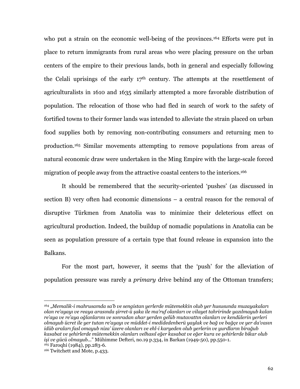who put a strain on the economic well-being of the provinces.<sup>164</sup> Efforts were put in place to return immigrants from rural areas who were placing pressure on the urban centers of the empire to their previous lands, both in general and especially following the Celali uprisings of the early 17<sup>th</sup> century. The attempts at the resettlement of agriculturalists in 1610 and 1635 similarly attempted a more favorable distribution of population. The relocation of those who had fled in search of work to the safety of fortified towns to their former lands was intended to alleviate the strain placed on urban food supplies both by removing non-contributing consumers and returning men to production.<sup>165</sup> Similar movements attempting to remove populations from areas of natural economic draw were undertaken in the Ming Empire with the large-scale forced migration of people away from the attractive coastal centers to the interiors.<sup>166</sup>

It should be remembered that the security-oriented 'pushes' (as discussed in section B) very often had economic dimensions – a central reason for the removal of disruptive Türkmen from Anatolia was to minimize their deleterious effect on agricultural production. Indeed, the buildup of nomadic populations in Anatolia can be seen as population pressure of a certain type that found release in expansion into the Balkans.

For the most part, however, it seems that the 'push' for the alleviation of population pressure was rarely a *primary* drive behind any of the Ottoman transfers;

<sup>164 &</sup>quot;Memalik-i mahrusamda sa'b ve sengistan yerlerde mütemekkin olub yer hususunda muzayakaları olan re'ayayı ve reaya arasında şirret-ü şaka ile ma'ruf olanları ve vilayet tahririnde yazılmayub kalan re'aya ve re'aya oğlanlarını ve sonradan ahar yerden gelüb mutavattın olanları ve kendülerin yerleri olmauub ücret ile ver tutan re'avauı ve müddet-i medidedenberü yaylak ve bağ ve bağce ve yer da'vasın idüb araları fasl omayub niza' üzere olanları ve ehl-i karyeden olub yerlerin ve yurdların birağub kasabat ve sehirlerde mütemekkin olanları velhasıl eğer kasabat ve eğer kura ve sehirlerde bikar olub işi ve gücü olmayub..." Mühimme Defteri, no.19 p.334, in Barkan (1949-50), pp.550-1. <sup>165</sup> Faroqhi (1984), pp.283-6.

<sup>&</sup>lt;sup>166</sup> Twitchett and Mote, p.433.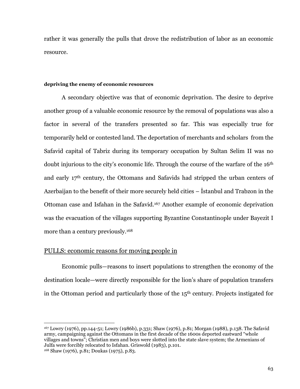rather it was generally the pulls that drove the redistribution of labor as an economic resource.

## depriving the enemy of economic resources

A secondary objective was that of economic deprivation. The desire to deprive another group of a valuable economic resource by the removal of populations was also a factor in several of the transfers presented so far. This was especially true for temporarily held or contested land. The deportation of merchants and scholars from the Safavid capital of Tabriz during its temporary occupation by Sultan Selim II was no doubt injurious to the city's economic life. Through the course of the warfare of the 16<sup>th</sup> and early 17th century, the Ottomans and Safavids had stripped the urban centers of Azerbaijan to the benefit of their more securely held cities – Istanbul and Trabzon in the Ottoman case and Isfahan in the Safavid.<sup>167</sup> Another example of economic deprivation was the evacuation of the villages supporting Byzantine Constantinople under Bayezit I more than a century previously.<sup>168</sup>

## **PULLS:** economic reasons for moving people in

Economic pulls—reasons to insert populations to strengthen the economy of the destination locale—were directly responsible for the lion's share of population transfers in the Ottoman period and particularly those of the 15<sup>th</sup> century. Projects instigated for

<sup>&</sup>lt;sup>167</sup> Lowry (1976), pp.144-51; Lowry (1986b), p.331; Shaw (1976), p.81; Morgan (1988), p.138. The Safavid army, campaigning against the Ottomans in the first decade of the 1600s deported eastward "whole villages and towns"; Christian men and boys were slotted into the state slave system; the Armenians of Julfa were forcibly relocated to Isfahan. Griswold (1983), p.101. <sup>168</sup> Shaw (1976), p.81; Doukas (1975), p.83.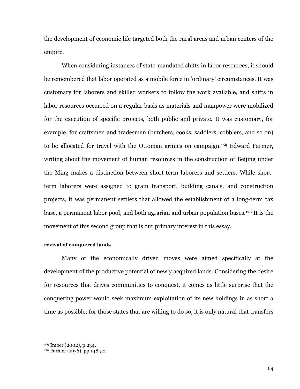the development of economic life targeted both the rural areas and urban centers of the empire.

When considering instances of state-mandated shifts in labor resources, it should be remembered that labor operated as a mobile force in 'ordinary' circumstances. It was customary for laborers and skilled workers to follow the work available, and shifts in labor resources occurred on a regular basis as materials and manpower were mobilized for the execution of specific projects, both public and private. It was customary, for example, for craftsmen and tradesmen (butchers, cooks, saddlers, cobblers, and so on) to be allocated for travel with the Ottoman armies on campaign.<sup>169</sup> Edward Farmer, writing about the movement of human resources in the construction of Beijing under the Ming makes a distinction between short-term laborers and settlers. While shortterm laborers were assigned to grain transport, building canals, and construction projects, it was permanent settlers that allowed the establishment of a long-term tax base, a permanent labor pool, and both agrarian and urban population bases.<sup>170</sup> It is the movement of this second group that is our primary interest in this essay.

## revival of conquered lands

Many of the economically driven moves were aimed specifically at the development of the productive potential of newly acquired lands. Considering the desire for resources that drives communities to conquest, it comes as little surprise that the conquering power would seek maximum exploitation of its new holdings in as short a time as possible; for those states that are willing to do so, it is only natural that transfers

<sup>&</sup>lt;sup>169</sup> Imber (2002), p.234.

<sup>&</sup>lt;sup>170</sup> Farmer (1976), pp.148-52.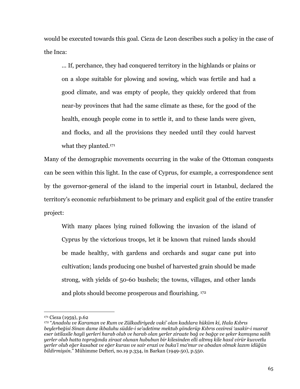would be executed towards this goal. Cieza de Leon describes such a policy in the case of the Inca:

... If, perchance, they had conquered territory in the highlands or plains or on a slope suitable for plowing and sowing, which was fertile and had a good climate, and was empty of people, they quickly ordered that from near-by provinces that had the same climate as these, for the good of the health, enough people come in to settle it, and to these lands were given, and flocks, and all the provisions they needed until they could harvest what they planted.<sup>171</sup>

Many of the demographic movements occurring in the wake of the Ottoman conquests can be seen within this light. In the case of Cyprus, for example, a correspondence sent by the governor-general of the island to the imperial court in Istanbul, declared the territory's economic refurbishment to be primary and explicit goal of the entire transfer project:

With many places lying ruined following the invasion of the island of Cyprus by the victorious troops, let it be known that ruined lands should be made healthy, with gardens and orchards and sugar cane put into cultivation; lands producing one bushel of harvested grain should be made strong, with yields of 50-60 bushels; the towns, villages, and other lands and plots should become prosperous and flourishing. 172

<sup>&</sup>lt;sup>171</sup> Cieza (1959), p.62

<sup>172 &</sup>quot;Anadolu ve Karaman ve Rum ve Zülkadiriyede vaki' olan kadılara hüküm ki. Hala Kıbrıs beylerbeğisi Sinan dame ikbaluhu südde-i se'adetime mektub gönderüp Kıbrıs ceziresi 'asakir-i nusrat eser istilasile hayli yerleri harab olub ve harab olan yerler ziraate bağ ve bağçe ve şeker kamışına salih yerler olub hatta toprağında ziraat olunan hububun bir kilesinden elli altmış kile hasıl virür kuvvetlu yerler olub eğer kasabat ve eğer kurası ve sair erazi ve buka'i ma'mur ve abadan olmak lazım idüğün bildirmişsin." Mühimme Defteri, no.19 p.334, in Barkan (1949-50), p.550.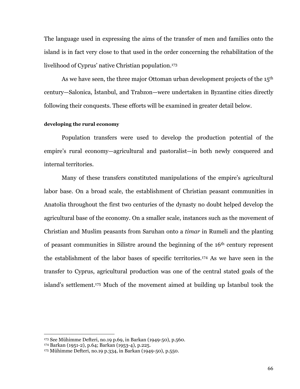The language used in expressing the aims of the transfer of men and families onto the island is in fact very close to that used in the order concerning the rehabilitation of the livelihood of Cyprus' native Christian population.<sup>173</sup>

As we have seen, the three major Ottoman urban development projects of the  $15<sup>th</sup>$ century—Salonica, Istanbul, and Trabzon—were undertaken in Byzantine cities directly following their conquests. These efforts will be examined in greater detail below.

#### developing the rural economy

Population transfers were used to develop the production potential of the empire's rural economy—agricultural and pastoralist—in both newly conquered and internal territories.

Many of these transfers constituted manipulations of the empire's agricultural labor base. On a broad scale, the establishment of Christian peasant communities in Anatolia throughout the first two centuries of the dynasty no doubt helped develop the agricultural base of the economy. On a smaller scale, instances such as the movement of Christian and Muslim peasants from Saruhan onto a *timar* in Rumeli and the planting of peasant communities in Silistre around the beginning of the 16<sup>th</sup> century represent the establishment of the labor bases of specific territories.<sup>174</sup> As we have seen in the transfer to Cyprus, agricultural production was one of the central stated goals of the island's settlement.<sup>175</sup> Much of the movement aimed at building up Istanbul took the

<sup>173</sup> See Mühimme Defteri, no.19 p.69, in Barkan (1949-50), p.560.

<sup>174</sup> Barkan (1951-2), p.64; Barkan (1953-4), p.225.

<sup>175</sup> Mühimme Defteri, no.19 p.334, in Barkan (1949-50), p.550.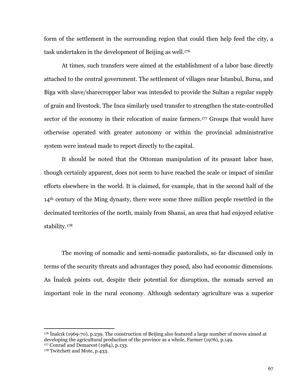form of the settlement in the surrounding region that could then help feed the city, a task undertaken in the development of Beijing as well.<sup>176</sup>

At times, such transfers were aimed at the establishment of a labor base directly attached to the central government. The settlement of villages near Istanbul, Bursa, and Biga with slave/share cropper labor was intended to provide the Sultan a regular supply of grain and livestock. The Inca similarly used transfer to strengthen the state-controlled sector of the economy in their relocation of maize farmers.<sup>177</sup> Groups that would have otherwise operated with greater autonomy or within the provincial administrative system were instead made to report directly to the capital.

It should be noted that the Ottoman manipulation of its peasant labor base, though certainly apparent, does not seem to have reached the scale or impact of similar efforts elsewhere in the world. It is claimed, for example, that in the second half of the 14<sup>th</sup> century of the Ming dynasty, there were some three million people resettled in the decimated territories of the north, mainly from Shansi, an area that had enjoyed relative stability.<sup>178</sup>

The moving of nomadic and semi-nomadic pastoralists, so far discussed only in terms of the security threats and advantages they posed, also had economic dimensions. As Inalcik points out, despite their potential for disruption, the nomads served an important role in the rural economy. Although sedentary agriculture was a superior

<sup>&</sup>lt;sup>176</sup> Inalcik (1969-70), p.239. The construction of Beijing also featured a large number of moves aimed at developing the agricultural production of the province as a whole, Farmer (1976), p.149. 177 Conrad and Demarest (1984), p.133.

<sup>&</sup>lt;sup>178</sup> Twitchett and Mote, p.433.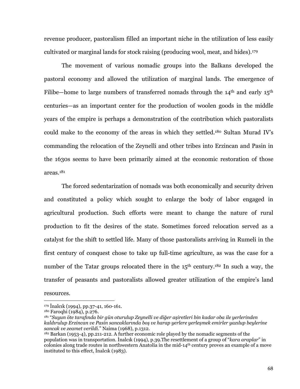revenue producer, pastoralism filled an important niche in the utilization of less easily cultivated or marginal lands for stock raising (producing wool, meat, and hides).<sup>179</sup>

The movement of various nomadic groups into the Balkans developed the pastoral economy and allowed the utilization of marginal lands. The emergence of Filibe-home to large numbers of transferred nomads through the  $14<sup>th</sup>$  and early  $15<sup>th</sup>$ centuries—as an important center for the production of woolen goods in the middle years of the empire is perhaps a demonstration of the contribution which pastoralists could make to the economy of the areas in which they settled.<sup>180</sup> Sultan Murad IV's commanding the relocation of the Zeynelli and other tribes into Erzincan and Pasin in the 1630s seems to have been primarily aimed at the economic restoration of those  $areas<sub>181</sub>$ 

The forced sedentarization of nomads was both economically and security driven and constituted a policy which sought to enlarge the body of labor engaged in agricultural production. Such efforts were meant to change the nature of rural production to fit the desires of the state. Sometimes forced relocation served as a catalyst for the shift to settled life. Many of those pastoralists arriving in Rumeli in the first century of conquest chose to take up full-time agriculture, as was the case for a number of the Tatar groups relocated there in the 15<sup>th</sup> century.<sup>182</sup> In such a way, the transfer of peasants and pastoralists allowed greater utilization of the empire's land

resources.

<sup>179</sup> Inalcık (1994), pp.37-41, 160-161.

<sup>&</sup>lt;sup>180</sup> Faroqhi (1984), p.276.

<sup>&</sup>lt;sup>181</sup> "Suyun öte tarafında bir gün oturulup Zeynelli ve diğer aşiretleri bin kadar oba ile yerlerinden kaldırulup Erzincan ve Pasin sancaklarında boş ve harap yerlere yerleşmek emirler yazılup beylerine sancak ve zeamet verildi." Naima (1968), p.1312.

<sup>&</sup>lt;sup>182</sup> Barkan (1953-4), pp.211-212. A further economic role played by the nomadic segments of the population was in transportation. Inalcık (1994), p.39. The resettlement of a group of "kara araplar" in colonies along trade routes in northwestern Anatolia in the mid-14<sup>th</sup> century proves an example of a move instituted to this effect, Inalcik (1983).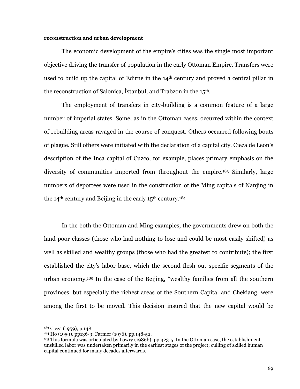### reconstruction and urban development

The economic development of the empire's cities was the single most important objective driving the transfer of population in the early Ottoman Empire. Transfers were used to build up the capital of Edirne in the 14<sup>th</sup> century and proved a central pillar in the reconstruction of Salonica, Istanbul, and Trabzon in the 15<sup>th</sup>.

The employment of transfers in city-building is a common feature of a large number of imperial states. Some, as in the Ottoman cases, occurred within the context of rebuilding areas ravaged in the course of conquest. Others occurred following bouts of plague. Still others were initiated with the declaration of a capital city. Cieza de Leon's description of the Inca capital of Cuzco, for example, places primary emphasis on the diversity of communities imported from throughout the empire.<sup>183</sup> Similarly, large numbers of deportees were used in the construction of the Ming capitals of Nanjing in the 14<sup>th</sup> century and Beijing in the early 15<sup>th</sup> century.<sup>184</sup>

In the both the Ottoman and Ming examples, the governments drew on both the land-poor classes (those who had nothing to lose and could be most easily shifted) as well as skilled and wealthy groups (those who had the greatest to contribute); the first established the city's labor base, which the second flesh out specific segments of the urban economy.<sup>185</sup> In the case of the Beijing, "wealthy families from all the southern provinces, but especially the richest areas of the Southern Capital and Chekiang, were among the first to be moved. This decision insured that the new capital would be

<sup>&</sup>lt;sup>183</sup> Cieza (1959), p.148.

<sup>&</sup>lt;sup>184</sup> Ho (1959), pp136-9; Farmer (1976), pp.148-52.

<sup>185</sup> This formula was articulated by Lowry (1986b), pp.323-5. In the Ottoman case, the establishment unskilled labor was undertaken primarily in the earliest stages of the project; culling of skilled human capital continued for many decades afterwards.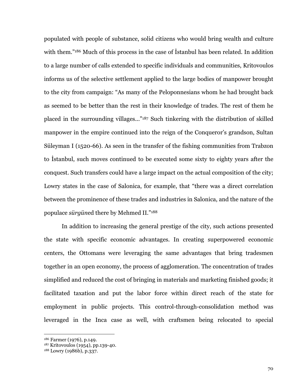populated with people of substance, solid citizens who would bring wealth and culture with them."<sup>186</sup> Much of this process in the case of Istanbul has been related. In addition to a large number of calls extended to specific individuals and communities, Kritovoulos informs us of the selective settlement applied to the large bodies of manpower brought to the city from campaign: "As many of the Peloponnesians whom he had brought back as seemed to be better than the rest in their knowledge of trades. The rest of them he placed in the surrounding villages..."<sup>187</sup> Such tinkering with the distribution of skilled manpower in the empire continued into the reign of the Conqueror's grandson, Sultan Süleyman I (1520-66). As seen in the transfer of the fishing communities from Trabzon to Istanbul, such moves continued to be executed some sixty to eighty years after the conquest. Such transfers could have a large impact on the actual composition of the city; Lowry states in the case of Salonica, for example, that "there was a direct correlation between the prominence of these trades and industries in Salonica, and the nature of the populace sürgüned there by Mehmed II."188

In addition to increasing the general prestige of the city, such actions presented the state with specific economic advantages. In creating superpowered economic centers, the Ottomans were leveraging the same advantages that bring tradesmen together in an open economy, the process of agglomeration. The concentration of trades simplified and reduced the cost of bringing in materials and marketing finished goods; it facilitated taxation and put the labor force within direct reach of the state for employment in public projects. This control-through-consolidation method was leveraged in the Inca case as well, with craftsmen being relocated to special

<sup>&</sup>lt;sup>186</sup> Farmer (1976), p.149.

<sup>&</sup>lt;sup>187</sup> Kritovoulos (1954), pp.139-40.

<sup>&</sup>lt;sup>188</sup> Lowry (1986b), p.337.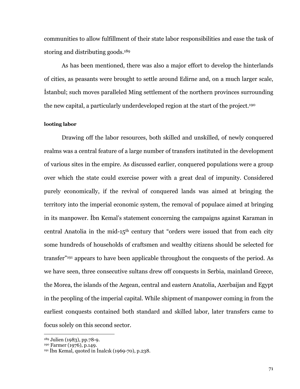communities to allow fulfillment of their state labor responsibilities and ease the task of storing and distributing goods.<sup>189</sup>

As has been mentioned, there was also a major effort to develop the hinterlands of cities, as peasants were brought to settle around Edirne and, on a much larger scale, Istanbul; such moves paralleled Ming settlement of the northern provinces surrounding the new capital, a particularly underdeveloped region at the start of the project.<sup>190</sup>

### looting labor

Drawing off the labor resources, both skilled and unskilled, of newly conquered realms was a central feature of a large number of transfers instituted in the development of various sites in the empire. As discussed earlier, conquered populations were a group over which the state could exercise power with a great deal of impunity. Considered purely economically, if the revival of conquered lands was aimed at bringing the territory into the imperial economic system, the removal of populace aimed at bringing in its manpower. Ibn Kemal's statement concerning the campaigns against Karaman in central Anatolia in the mid-15<sup>th</sup> century that "orders were issued that from each city some hundreds of households of craftsmen and wealthy citizens should be selected for transfer<sup>"191</sup> appears to have been applicable throughout the conquests of the period. As we have seen, three consecutive sultans drew off conquests in Serbia, mainland Greece, the Morea, the islands of the Aegean, central and eastern Anatolia, Azerbaijan and Egypt in the peopling of the imperial capital. While shipment of manpower coming in from the earliest conquests contained both standard and skilled labor, later transfers came to focus solely on this second sector.

<sup>&</sup>lt;sup>189</sup> Julien (1983), pp.78-9.

<sup>&</sup>lt;sup>190</sup> Farmer (1976), p.149.

 $191$  Ibn Kemal, quoted in Inalcık (1969-70), p.238.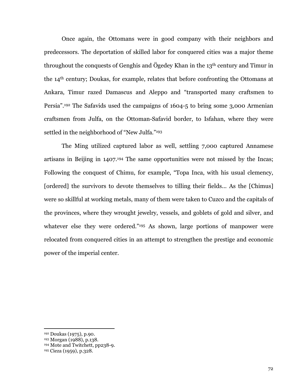Once again, the Ottomans were in good company with their neighbors and predecessors. The deportation of skilled labor for conquered cities was a major theme throughout the conquests of Genghis and Ögedey Khan in the 13<sup>th</sup> century and Timur in the 14<sup>th</sup> century; Doukas, for example, relates that before confronting the Ottomans at Ankara, Timur razed Damascus and Aleppo and "transported many craftsmen to Persia".<sup>192</sup> The Safavids used the campaigns of 1604-5 to bring some 3,000 Armenian craftsmen from Julfa, on the Ottoman-Safavid border, to Isfahan, where they were settled in the neighborhood of "New Julfa."<sup>193</sup>

The Ming utilized captured labor as well, settling 7,000 captured Annamese artisans in Beijing in 1407.<sup>194</sup> The same opportunities were not missed by the Incas: Following the conquest of Chimu, for example, "Topa Inca, with his usual clemency, [ordered] the survivors to devote themselves to tilling their fields... As the [Chimus] were so skillful at working metals, many of them were taken to Cuzco and the capitals of the provinces, where they wrought jewelry, vessels, and goblets of gold and silver, and whatever else they were ordered."<sup>195</sup> As shown, large portions of manpower were relocated from conquered cities in an attempt to strengthen the prestige and economic power of the imperial center.

<sup>&</sup>lt;sup>192</sup> Doukas (1975), p.90.

<sup>&</sup>lt;sup>193</sup> Morgan (1988), p.138.

<sup>&</sup>lt;sup>194</sup> Mote and Twitchett, pp238-9.

<sup>&</sup>lt;sup>195</sup> Cieza (1959), p.328.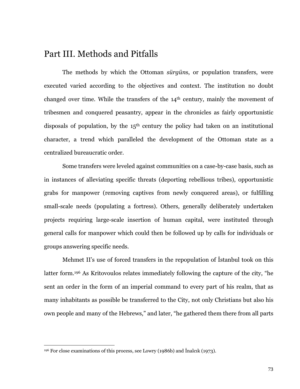## Part III. Methods and Pitfalls

The methods by which the Ottoman sürgüns, or population transfers, were executed varied according to the objectives and context. The institution no doubt changed over time. While the transfers of the 14<sup>th</sup> century, mainly the movement of tribesmen and conquered peasantry, appear in the chronicles as fairly opportunistic disposals of population, by the  $15<sup>th</sup>$  century the policy had taken on an institutional character, a trend which paralleled the development of the Ottoman state as a centralized bureaucratic order.

Some transfers were leveled against communities on a case-by-case basis, such as in instances of alleviating specific threats (deporting rebellious tribes), opportunistic grabs for manpower (removing captives from newly conquered areas), or fulfilling small-scale needs (populating a fortress). Others, generally deliberately undertaken projects requiring large-scale insertion of human capital, were instituted through general calls for manpower which could then be followed up by calls for individuals or groups answering specific needs.

Mehmet II's use of forced transfers in the repopulation of Istanbul took on this latter form.<sup>196</sup> As Kritovoulos relates immediately following the capture of the city, "he sent an order in the form of an imperial command to every part of his realm, that as many inhabitants as possible be transferred to the City, not only Christians but also his own people and many of the Hebrews," and later, "he gathered them there from all parts

<sup>&</sup>lt;sup>196</sup> For close examinations of this process, see Lowry (1986b) and Inalcik (1973).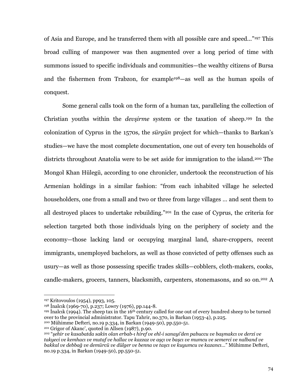of Asia and Europe, and he transferred them with all possible care and speed..."197 This broad culling of manpower was then augmented over a long period of time with summons issued to specific individuals and communities—the wealthy citizens of Bursa and the fishermen from Trabzon, for example<sup>198</sup>—as well as the human spoils of conquest.

Some general calls took on the form of a human tax, paralleling the collection of Christian youths within the *devsirme* system or the taxation of sheep.<sup>199</sup> In the colonization of Cyprus in the 1570s, the *surgun* project for which—thanks to Barkan's studies—we have the most complete documentation, one out of every ten households of districts throughout Anatolia were to be set aside for immigration to the island.<sup>200</sup> The Mongol Khan Hülegü, according to one chronicler, undertook the reconstruction of his Armenian holdings in a similar fashion: "from each inhabited village he selected householders, one from a small and two or three from large villages ... and sent them to all destroyed places to undertake rebuilding."<sup>201</sup> In the case of Cyprus, the criteria for selection targeted both those individuals lying on the periphery of society and the economy—those lacking land or occupying marginal land, share-croppers, recent immigrants, unemployed bachelors, as well as those convicted of petty offenses such as usury—as well as those possessing specific trades skills—cobblers, cloth-makers, cooks, candle-makers, grocers, tanners, blacksmith, carpenters, stonemasons, and so on.<sup>202</sup> A

<sup>&</sup>lt;sup>197</sup> Kritovoulos (1954), pp93, 105.

<sup>&</sup>lt;sup>198</sup> Inalcık (1969-70), p.237; Lowry (1976), pp.144-8.

<sup>199</sup> Inalcik (1994). The sheep tax in the 16<sup>th</sup> century called for one out of every hundred sheep to be turned over to the provincial administrator. Tapu Tahrir, no.370, in Barkan (1953-4), p.225.

<sup>&</sup>lt;sup>200</sup> Mühimme Defteri, no.19 p.334, in Barkan (1949-50), pp.550-51.

<sup>&</sup>lt;sup>201</sup> Grigor of Akanc', quoted in Allsen (1987), p.90.

<sup>&</sup>lt;sup>202</sup> "şehir ve kasabatda sakin olan erbab-ı hiref ve ehl-i sanayi'den pabuccu ve başmakcı ve derzi ve takyeci ve kemhacı ve mutaf ve hallac ve kazzaz ve aşçı ve başcı ve mumcu ve semerci ve nalband ve bakkal ve debbağ ve demürcü ve dülger ve benna ve taşcı ve kuyumcu ve kazancı..." Mühimme Defteri, no.19 p.334, in Barkan (1949-50), pp.550-51.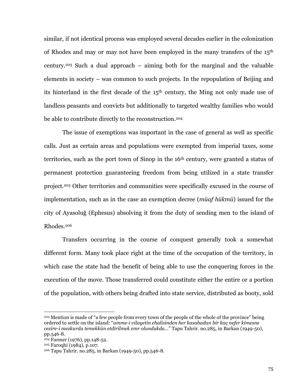similar, if not identical process was employed several decades earlier in the colonization of Rhodes and may or may not have been employed in the many transfers of the 15<sup>th</sup> century.<sup>203</sup> Such a dual approach – aiming both for the marginal and the valuable elements in society – was common to such projects. In the repopulation of Beijing and its hinterland in the first decade of the 15<sup>th</sup> century, the Ming not only made use of landless peasants and convicts but additionally to targeted wealthy families who would be able to contribute directly to the reconstruction.<sup>204</sup>

The issue of exemptions was important in the case of general as well as specific calls. Just as certain areas and populations were exempted from imperial taxes, some territories, such as the port town of Sinop in the 16<sup>th</sup> century, were granted a status of permanent protection guaranteeing freedom from being utilized in a state transfer project.<sup>205</sup> Other territories and communities were specifically excused in the course of implementation, such as in the case an exemption decree (*müaf hükmü*) issued for the city of Ayasoluğ (Ephesus) absolving it from the duty of sending men to the island of Rhodes.<sup>206</sup>

Transfers occurring in the course of conquest generally took a somewhat different form. Many took place right at the time of the occupation of the territory, in which case the state had the benefit of being able to use the conquering forces in the execution of the move. Those transferred could constitute either the entire or a portion of the population, with others being drafted into state service, distributed as booty, sold

<sup>&</sup>lt;sup>203</sup> Mention is made of "a few people from every town of the people of the whole of the province" being ordered to settle on the island: "amme-i vilayetin ehalisinden her kasabadan bir kaç nefer kimesne cezire-i mezkurda temekkün etdirilmek emr olundukda..." Tapu Tahrir. no.285, in Barkan (1949-50), pp.546-8.

<sup>&</sup>lt;sup>204</sup> Farmer (1976), pp.148-52.

<sup>&</sup>lt;sup>205</sup> Faroqhi (1984), p.107.

<sup>&</sup>lt;sup>206</sup> Tapu Tahrir. no.285, in Barkan (1949-50), pp.546-8.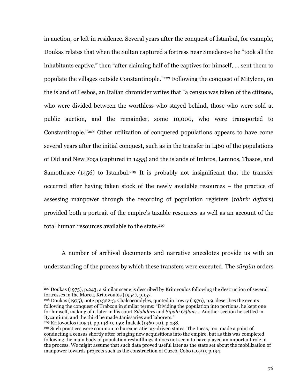in auction, or left in residence. Several years after the conquest of Istanbul, for example, Doukas relates that when the Sultan captured a fortress near Smederovo he "took all the inhabitants captive," then "after claiming half of the captives for himself, ... sent them to populate the villages outside Constantinople."<sup>207</sup> Following the conquest of Mitylene, on the island of Lesbos, an Italian chronicler writes that "a census was taken of the citizens, who were divided between the worthless who staved behind, those who were sold at public auction, and the remainder, some 10,000, who were transported to Constantinople."208 Other utilization of conquered populations appears to have come several years after the initial conquest, such as in the transfer in 1460 of the populations of Old and New Foca (captured in 1455) and the islands of Imbros, Lemnos, Thasos, and Samothrace  $(1456)$  to Istanbul.<sup>209</sup> It is probably not insignificant that the transfer occurred after having taken stock of the newly available resources – the practice of assessing manpower through the recording of population registers *(tahrir defters)* provided both a portrait of the empire's taxable resources as well as an account of the total human resources available to the state.<sup>210</sup>

A number of archival documents and narrative anecdotes provide us with an understanding of the process by which these transfers were executed. The *sürgün* orders

<sup>207</sup> Doukas (1975), p.243; a similar scene is described by Kritovoulos following the destruction of several fortresses in the Morea, Kritovoulos (1954), p.157.

<sup>&</sup>lt;sup>208</sup> Doukas (1975), note pp.322-3. Chalcocondyles, quoted in Lowry (1976), p.9, describes the events following the conquest of Trabzon in similar terms: "Dividing the population into portions, he kept one for himself, making of it later in his court Silahdars and Sipahi Oğlans... Another section he settled in Byzantium, and the third he made Janissaries and laborers."

<sup>&</sup>lt;sup>209</sup> Kritovoulos (1954), pp.148-9, 159; Inalcik (1969-70), p.238.

<sup>&</sup>lt;sup>210</sup> Such practices were common to bureaucratic tax-driven states. The Incas, too, made a point of conducting a census shortly after bringing new acquisitions into the empire, but as this was completed following the main body of population reshufflings it does not seem to have played an important role in the process. We might assume that such data proved useful later as the state set about the mobilization of manpower towards projects such as the construction of Cuzco, Cobo (1979), p.194.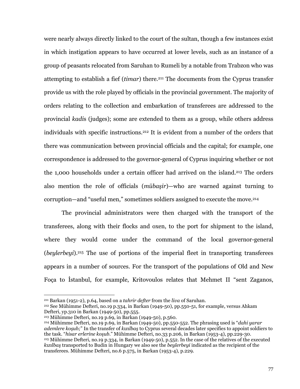were nearly always directly linked to the court of the sultan, though a few instances exist in which instigation appears to have occurred at lower levels, such as an instance of a group of peasants relocated from Saruhan to Rumeli by a notable from Trabzon who was attempting to establish a fief (*timar*) there.<sup>211</sup> The documents from the Cyprus transfer provide us with the role played by officials in the provincial government. The majority of orders relating to the collection and embarkation of transferees are addressed to the provincial kadis (judges); some are extended to them as a group, while others address individuals with specific instructions.<sup>212</sup> It is evident from a number of the orders that there was communication between provincial officials and the capital; for example, one correspondence is addressed to the governor-general of Cyprus inquiring whether or not the 1,000 households under a certain officer had arrived on the island.<sup>213</sup> The orders also mention the role of officials (*mübaşir*)—who are warned against turning to corruption—and "useful men," sometimes soldiers assigned to execute the move.<sup>214</sup>

The provincial administrators were then charged with the transport of the transferees, along with their flocks and oxen, to the port for shipment to the island, where they would come under the command of the local governor-general *(beylerbeyi)*.<sup>215</sup> The use of portions of the imperial fleet in transporting transferees appears in a number of sources. For the transport of the populations of Old and New Foca to Istanbul, for example, Kritovoulos relates that Mehmet II "sent Zaganos,

 $212$  See Mühimme Defteri, no.19 p.334, in Barkan (1949-50), pp.550-51, for example, versus Ahkam Defteri, yp.310 in Barkan (1949-50), pp.555.

 $211$  Barkan (1951-2), p.64, based on a *tahrir defter* from the *liva* of Saruhan.

 $213$  Mühimme Defteri, no.19 p.69, in Barkan (1949-50), p.560.

<sup>&</sup>lt;sup>214</sup> Mühimme Defteri, no.19 p.69, in Barkan (1949-50), pp.550-552. The phrasing used is "dahi varar ademlere kosub;" In the transfer of kizilbas to Cyprus several decades later specifies to appoint soldiers to the task. "hisar erlerine kosub." Mühimme Defteri, no.33 p.206, in Barkan (1953-4), pp.229-30.  $215$  Mühimme Defteri, no.19 p.334, in Barkan (1949-50), p.552. In the case of the relatives of the executed kizilbas transported to Budin in Hungary we also see the beylerbeyi indicated as the recipient of the transferees. Mühimme Defteri, no.6 p.575, in Barkan (1953-4), p.229.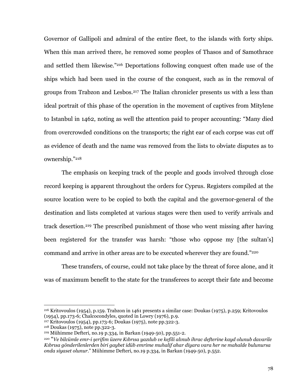Governor of Gallipoli and admiral of the entire fleet, to the islands with forty ships. When this man arrived there, he removed some peoples of Thasos and of Samothrace and settled them likewise."216 Deportations following conquest often made use of the ships which had been used in the course of the conquest, such as in the removal of groups from Trabzon and Lesbos.<sup>217</sup> The Italian chronicler presents us with a less than ideal portrait of this phase of the operation in the movement of captives from Mitylene to Istanbul in 1462, noting as well the attention paid to proper accounting: "Many died from overcrowded conditions on the transports; the right ear of each corpse was cut off as evidence of death and the name was removed from the lists to obviate disputes as to ownership."218

The emphasis on keeping track of the people and goods involved through close record keeping is apparent throughout the orders for Cyprus. Registers compiled at the source location were to be copied to both the capital and the governor-general of the destination and lists completed at various stages were then used to verify arrivals and track desertion.<sup>219</sup> The prescribed punishment of those who went missing after having been registered for the transfer was harsh: "those who oppose my [the sultan's] command and arrive in other areas are to be executed wherever they are found."<sup>220</sup>

These transfers, of course, could not take place by the threat of force alone, and it was of maximum benefit to the state for the transferees to accept their fate and become

<sup>216</sup> Kritovoulos (1954), p.159. Trabzon in 1461 presents a similar case: Doukas (1975), p.259; Kritovoulos (1954), pp.173-6; Chalcocondyles, quoted in Lowry (1976), p.9.

<sup>&</sup>lt;sup>217</sup> Kritovoulos (1954), pp.173-6; Doukas (1975), note pp.322-3.

<sup>&</sup>lt;sup>218</sup> Doukas (1975), note pp. 322-3.

 $^{219}$  Mühimme Defteri, no.19 p.334, in Barkan (1949-50), pp.551-2.

<sup>&</sup>lt;sup>220</sup> "Ve bilcümle emr-i şerifim üzere Kıbrısa yazılub ve kefili alınub ihrac defterine kayd olunub davarile Kıbrısa gönderilenlerden biri gaybet idüb emrime muhalif ahar diyara vara her ne mahalde bulunursa onda siyaset olunur." Mühimme Defteri, no.19 p.334, in Barkan (1949-50), p.552.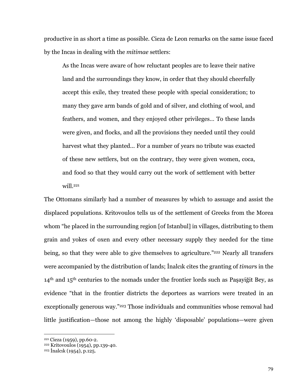productive in as short a time as possible. Cieza de Leon remarks on the same issue faced by the Incas in dealing with the *mitimae* settlers:

As the Incas were aware of how reluctant peoples are to leave their native land and the surroundings they know, in order that they should cheerfully accept this exile, they treated these people with special consideration; to many they gave arm bands of gold and of silver, and clothing of wool, and feathers, and women, and they enjoyed other privileges... To these lands were given, and flocks, and all the provisions they needed until they could harvest what they planted... For a number of years no tribute was exacted of these new settlers, but on the contrary, they were given women, coca, and food so that they would carry out the work of settlement with better will.<sup>221</sup>

The Ottomans similarly had a number of measures by which to assuage and assist the displaced populations. Kritovoulos tells us of the settlement of Greeks from the Morea whom "he placed in the surrounding region [of Istanbul] in villages, distributing to them grain and yokes of oxen and every other necessary supply they needed for the time being, so that they were able to give themselves to agriculture."<sup>222</sup> Nearly all transfers were accompanied by the distribution of lands; Inalcik cites the granting of *timars* in the  $14<sup>th</sup>$  and  $15<sup>th</sup>$  centuries to the nomads under the frontier lords such as Pasayigit Bey, as evidence "that in the frontier districts the deportees as warriors were treated in an exceptionally generous way."<sup>223</sup> Those individuals and communities whose removal had little justification—those not among the highly 'disposable' populations—were given

<sup>&</sup>lt;sup>221</sup> Cieza (1959), pp.60-2.

<sup>&</sup>lt;sup>222</sup> Kritovoulos (1954), pp.139-40.

<sup>&</sup>lt;sup>223</sup> Inalcik (1954), p.125.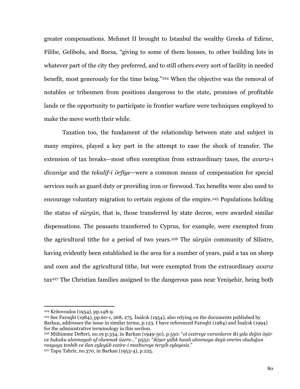greater compensations. Mehmet II brought to Istanbul the wealthy Greeks of Edirne, Filibe, Gelibolu, and Bursa, "giving to some of them houses, to other building lots in whatever part of the city they preferred, and to still others every sort of facility in needed benefit, most generously for the time being."<sup>224</sup> When the objective was the removal of notables or tribesmen from positions dangerous to the state, promises of profitable lands or the opportunity to participate in frontier warfare were techniques employed to make the move worth their while.

Taxation too, the fundament of the relationship between state and subject in many empires, played a key part in the attempt to ease the shock of transfer. The extension of tax breaks—most often exemption from extraordinary taxes, the *avariz-i divaniye* and the *tekalif-i örfiye*—were a common means of compensation for special services such as guard duty or providing iron or firewood. Tax benefits were also used to encourage voluntary migration to certain regions of the empire.<sup>225</sup> Populations holding the status of *sürgün*, that is, those transferred by state decree, were awarded similar dispensations. The peasants transferred to Cyprus, for example, were exempted from the agricultural tithe for a period of two years.<sup>226</sup> The sürgün community of Silistre, having evidently been established in the area for a number of years, paid a tax on sheep and oxen and the agricultural tithe, but were exempted from the extraordinary *avary* tax<sup>227</sup> The Christian families assigned to the dangerous pass near Yenisehir, being both

<sup>&</sup>lt;sup>224</sup> Kritovoulos (1954), pp.148-9.

 $225$  See Faroghi (1984), pp.60-1, 268, 275. Inalcik (1954), also relying on the documents published by Barkan, addresses the issue in similar terms, p.123. I have referenced Faroqhi (1984) and Inalcik (1994) for the administrative terminology in this section.

<sup>&</sup>lt;sup>226</sup> Mühimme Defteri, no.19 p.334, in Barkan (1949-50), p.550: "ol cezireye varanların iki yıla değin öşür ve hukuku alınmayub af olunmak üzere..." p552: "ikişer yıllık hasılı alınmaya degü emrim oluduğun reayaya tenbih ve ilan eyleyüb cezire-i mezbureye tergib eyleyesiz."

<sup>&</sup>lt;sup>227</sup> Tapu Tahrir, no.370, in Barkan (1953-4), p.225.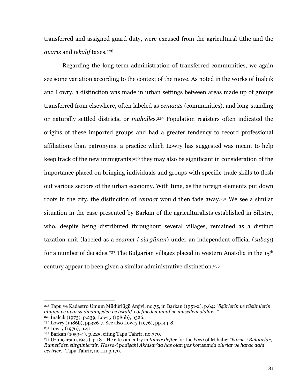transferred and assigned guard duty, were excused from the agricultural tithe and the avariz and tekalif taxes.<sup>228</sup>

Regarding the long-term administration of transferred communities, we again see some variation according to the context of the move. As noted in the works of Inalcik and Lowry, a distinction was made in urban settings between areas made up of groups transferred from elsewhere, often labeled as *cemaats* (communities), and long-standing or naturally settled districts, or *mahalles*.<sup>229</sup> Population registers often indicated the origins of these imported groups and had a greater tendency to record professional affiliations than patronyms, a practice which Lowry has suggested was meant to help keep track of the new immigrants;<sup>230</sup> they may also be significant in consideration of the importance placed on bringing individuals and groups with specific trade skills to flesh out various sectors of the urban economy. With time, as the foreign elements put down roots in the city, the distinction of *cemaat* would then fade away.<sup>231</sup> We see a similar situation in the case presented by Barkan of the agriculturalists established in Silistre, who, despite being distributed throughout several villages, remained as a distinct taxation unit (labeled as a *zeamet-i sürgünan*) under an independent official (*subasi*) for a number of decades.<sup>232</sup> The Bulgarian villages placed in western Anatolia in the 15<sup>th</sup> century appear to been given a similar administrative distinction.<sup>233</sup>

<sup>&</sup>lt;sup>228</sup> Tapu ve Kadastro Umum Müdürlügü Arşivi, no.75, in Barkan (1951-2), p.64: "öşürlerin ve rüsümlerin almıya ve avarızı divaniyeden ve tekalif-i örfiyeden muaf ve müsellem olalar..."

<sup>&</sup>lt;sup>229</sup> Inalcik (1973), p.239; Lowry (1986b), p.326.

<sup>&</sup>lt;sup>230</sup> Lowry (1986b), pp326-7. See also Lowry (1976), pp144-8.

<sup>&</sup>lt;sup>231</sup> Lowry (1976), p.41.

<sup>&</sup>lt;sup>232</sup> Barkan (1953-4), p.225, citing Tapu Tahrir, no.370.

<sup>&</sup>lt;sup>233</sup> Uzunçarşılı (1947), p.181. He cites an entry in *tahrir defter* for the kaza of Mihaliç: "karye-i Bulgarlar, Rumeli'den sürgünlerdir. Hassa-i padişahi Akhisar'da has olan yoz korusunda olurlar ve harac dahi verirler." Tapu Tahrir, no.111 p.179.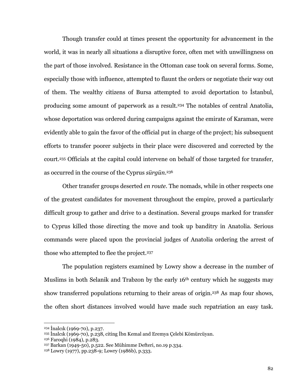Though transfer could at times present the opportunity for advancement in the world, it was in nearly all situations a disruptive force, often met with unwillingness on the part of those involved. Resistance in the Ottoman case took on several forms. Some, especially those with influence, attempted to flaunt the orders or negotiate their way out of them. The wealthy citizens of Bursa attempted to avoid deportation to Istanbul, producing some amount of paperwork as a result.<sup>234</sup> The notables of central Anatolia, whose deportation was ordered during campaigns against the emirate of Karaman, were evidently able to gain the favor of the official put in charge of the project; his subsequent efforts to transfer poorer subjects in their place were discovered and corrected by the court.<sup>235</sup> Officials at the capital could intervene on behalf of those targeted for transfer, as occurred in the course of the Cyprus surgun.<sup>236</sup>

Other transfer groups deserted en route. The nomads, while in other respects one of the greatest candidates for movement throughout the empire, proved a particularly difficult group to gather and drive to a destination. Several groups marked for transfer to Cyprus killed those directing the move and took up banditry in Anatolia. Serious commands were placed upon the provincial judges of Anatolia ordering the arrest of those who attempted to flee the project.<sup>237</sup>

The population registers examined by Lowry show a decrease in the number of Muslims in both Selanik and Trabzon by the early 16<sup>th</sup> century which he suggests may show transferred populations returning to their areas of origin.<sup>238</sup> As map four shows, the often short distances involved would have made such repatriation an easy task.

 $234$  Inalcik (1969-70), p.237.

<sup>&</sup>lt;sup>235</sup> İnalcık (1969-70), p.238, citing İbn Kemal and Eremya Çelebi Kömürcüyan.

<sup>&</sup>lt;sup>236</sup> Faroqhi (1984), p.283.

<sup>&</sup>lt;sup>237</sup> Barkan (1949-50), p.522. See Mühimme Defteri, no.19 p.334.

<sup>&</sup>lt;sup>238</sup> Lowry (1977), pp.238-9; Lowry (1986b), p.333.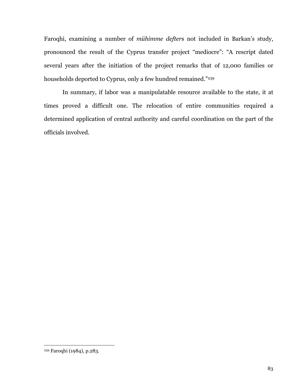Faroqhi, examining a number of mühimme defters not included in Barkan's study, pronounced the result of the Cyprus transfer project "mediocre": "A rescript dated several years after the initiation of the project remarks that of 12,000 families or households deported to Cyprus, only a few hundred remained."239

In summary, if labor was a manipulatable resource available to the state, it at times proved a difficult one. The relocation of entire communities required a determined application of central authority and careful coordination on the part of the officials involved.

<sup>&</sup>lt;sup>239</sup> Faroqhi (1984), p.283.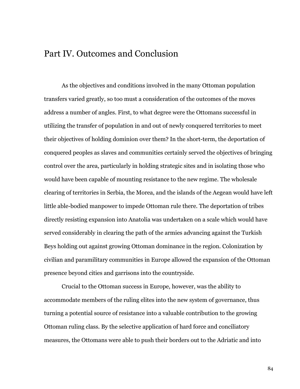# Part IV. Outcomes and Conclusion

As the objectives and conditions involved in the many Ottoman population transfers varied greatly, so too must a consideration of the outcomes of the moves address a number of angles. First, to what degree were the Ottomans successful in utilizing the transfer of population in and out of newly conquered territories to meet their objectives of holding dominion over them? In the short-term, the deportation of conquered peoples as slaves and communities certainly served the objectives of bringing control over the area, particularly in holding strategic sites and in isolating those who would have been capable of mounting resistance to the new regime. The wholesale clearing of territories in Serbia, the Morea, and the islands of the Aegean would have left little able-bodied manpower to impede Ottoman rule there. The deportation of tribes directly resisting expansion into Anatolia was undertaken on a scale which would have served considerably in clearing the path of the armies advancing against the Turkish Beys holding out against growing Ottoman dominance in the region. Colonization by civilian and paramilitary communities in Europe allowed the expansion of the Ottoman presence beyond cities and garrisons into the countryside.

Crucial to the Ottoman success in Europe, however, was the ability to accommodate members of the ruling elites into the new system of governance, thus turning a potential source of resistance into a valuable contribution to the growing Ottoman ruling class. By the selective application of hard force and conciliatory measures, the Ottomans were able to push their borders out to the Adriatic and into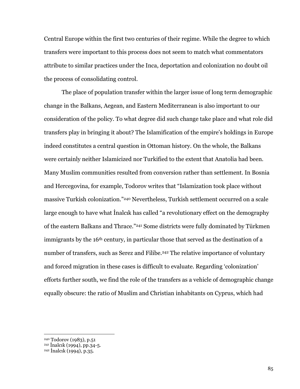Central Europe within the first two centuries of their regime. While the degree to which transfers were important to this process does not seem to match what commentators attribute to similar practices under the Inca, deportation and colonization no doubt oil the process of consolidating control.

The place of population transfer within the larger issue of long term demographic change in the Balkans, Aegean, and Eastern Mediterranean is also important to our consideration of the policy. To what degree did such change take place and what role did transfers play in bringing it about? The Islamification of the empire's holdings in Europe indeed constitutes a central question in Ottoman history. On the whole, the Balkans were certainly neither Islamicized nor Turkified to the extent that Anatolia had been. Many Muslim communities resulted from conversion rather than settlement. In Bosnia and Hercegovina, for example, Todorov writes that "Islamization took place without massive Turkish colonization."<sup>240</sup> Nevertheless, Turkish settlement occurred on a scale large enough to have what Inalcik has called "a revolutionary effect on the demography of the eastern Balkans and Thrace."<sup>241</sup> Some districts were fully dominated by Türkmen immigrants by the 16<sup>th</sup> century, in particular those that served as the destination of a number of transfers, such as Serez and Filibe.<sup>242</sup> The relative importance of voluntary and forced migration in these cases is difficult to evaluate. Regarding 'colonization' efforts further south, we find the role of the transfers as a vehicle of demographic change equally obscure: the ratio of Muslim and Christian inhabitants on Cyprus, which had

<sup>&</sup>lt;sup>240</sup> Todorov (1983), p.51

<sup>&</sup>lt;sup>241</sup> Inalcik (1994), pp.34-5.

<sup>&</sup>lt;sup>242</sup> Inalcık (1994), p.35.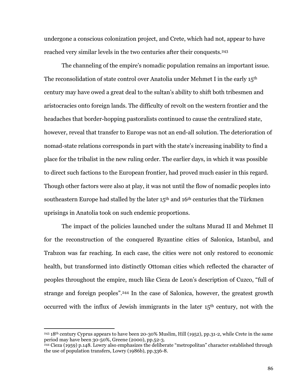undergone a conscious colonization project, and Crete, which had not, appear to have reached very similar levels in the two centuries after their conquests.<sup>243</sup>

The channeling of the empire's nomadic population remains an important issue. The reconsolidation of state control over Anatolia under Mehmet I in the early 15<sup>th</sup> century may have owed a great deal to the sultan's ability to shift both tribesmen and aristocracies onto foreign lands. The difficulty of revolt on the western frontier and the headaches that border-hopping pastoralists continued to cause the centralized state, however, reveal that transfer to Europe was not an end-all solution. The deterioration of nomad-state relations corresponds in part with the state's increasing inability to find a place for the tribalist in the new ruling order. The earlier days, in which it was possible to direct such factions to the European frontier, had proved much easier in this regard. Though other factors were also at play, it was not until the flow of nomadic peoples into southeastern Europe had stalled by the later 15<sup>th</sup> and 16<sup>th</sup> centuries that the Türkmen uprisings in Anatolia took on such endemic proportions.

The impact of the policies launched under the sultans Murad II and Mehmet II for the reconstruction of the conquered Byzantine cities of Salonica, Istanbul, and Trabzon was far reaching. In each case, the cities were not only restored to economic health, but transformed into distinctly Ottoman cities which reflected the character of peoples throughout the empire, much like Cieza de Leon's description of Cuzco, "full of strange and foreign peoples".<sup>244</sup> In the case of Salonica, however, the greatest growth occurred with the influx of Jewish immigrants in the later 15<sup>th</sup> century, not with the

<sup>243 18</sup>th century Cyprus appears to have been 20-30% Muslim, Hill (1952), pp.31-2, while Crete in the same period may have been 30-50%, Greene (2000), pp.52-3.

<sup>&</sup>lt;sup>244</sup> Cieza (1959) p.148. Lowry also emphasizes the deliberate "metropolitan" character established through the use of population transfers, Lowry (1986b), pp.336-8.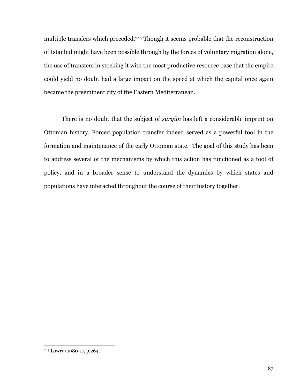multiple transfers which preceded.<sup>245</sup> Though it seems probable that the reconstruction of Istanbul might have been possible through by the forces of voluntary migration alone, the use of transfers in stocking it with the most productive resource base that the empire could yield no doubt had a large impact on the speed at which the capital once again became the preeminent city of the Eastern Mediterranean.

There is no doubt that the subject of *sürgün* has left a considerable imprint on Ottoman history. Forced population transfer indeed served as a powerful tool in the formation and maintenance of the early Ottoman state. The goal of this study has been to address several of the mechanisms by which this action has functioned as a tool of policy, and in a broader sense to understand the dynamics by which states and populations have interacted throughout the course of their history together.

<sup>&</sup>lt;sup>245</sup> Lowry (1980-1), p.264.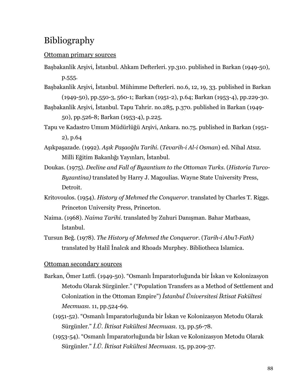# Bibliography

### Ottoman primary sources

- Başbakanlik Arşivi, İstanbul. Ahkam Defterleri. yp.310. published in Barkan (1949-50), p.555.
- Başbakanlik Arşivi, İstanbul. Mühimme Defterleri. no.6, 12, 19, 33. published in Barkan (1949-50), pp.550-3, 560-1; Barkan (1951-2), p.64; Barkan (1953-4), pp.229-30.
- Başbakanlik Arşivi, İstanbul. Tapu Tahrir. no.285, p.370. published in Barkan (1949-50), pp.526-8; Barkan (1953-4), p.225.
- Tapu ve Kadastro Umum Müdürlüğü Arşivi, Ankara, no.75. published in Barkan (1951- $2)$ , p.64
- Aşıkpaşazade. (1992). Aşık Paşaoğlu Tarihi. (Tevarih-i Al-i Osman) ed. Nihal Atsız. Milli Eğitim Bakanlığı Yayınları, İstanbul.
- Doukas. (1975). Decline and Fall of Byzantium to the Ottoman Turks. (Historia Turco-Byzantina) translated by Harry J. Magoulias. Wayne State University Press, Detroit.
- Kritovoulos. (1954). *History of Mehmed the Conqueror*. translated by Charles T. Riggs. Princeton University Press, Princeton.
- Naima. (1968). Naima Tarihi. translated by Zuhuri Danışman. Bahar Matbaası, İstanbul.
- Tursun Beğ. (1978). The History of Mehmed the Conqueror. (Tarih-i Abu'l-Fath) translated by Halil Inalcik and Rhoads Murphey. Bibliotheca Islamica.

## Ottoman secondary sources

- Barkan, Ömer Lutfi. (1949-50). "Osmanlı İmparatorluğunda bir İskan ve Kolonizasyon Metodu Olarak Sürgünler." ("Population Transfers as a Method of Settlement and Colonization in the Ottoman Empire") Istanbul Üniversitesi Iktisat Fakültesi Mecmuasi. 11, pp.524-69.
	- (1951-52). "Osmanlı İmparatorluğunda bir İskan ve Kolonizasyon Metodu Olarak Sürgünler." İ.Ü. İktisat Fakültesi Mecmuası. 13, pp.56-78.
	- (1953-54). "Osmanlı İmparatorluğunda bir İskan ve Kolonizasyon Metodu Olarak Sürgünler." İ.Ü. İktisat Fakültesi Mecmuası. 15, pp.209-37.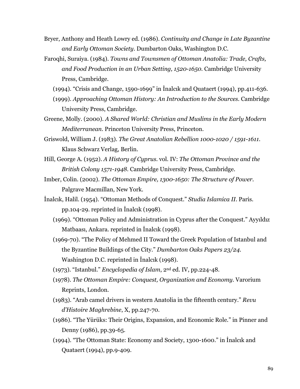- Bryer, Anthony and Heath Lowry ed. (1986). Continuity and Change in Late Byzantine and Early Ottoman Society. Dumbarton Oaks, Washington D.C.
- Faroqhi, Suraiya. (1984). Towns and Townsmen of Ottoman Anatolia: Trade, Crafts, and Food Production in an Urban Setting, 1520-1650. Cambridge University Press, Cambridge.
	- $(1994)$ . "Crisis and Change, 1590-1699" in Inalcik and Quataert  $(1994)$ , pp.411-636.
	- (1999). Approaching Ottoman History: An Introduction to the Sources. Cambridge University Press, Cambridge.
- Greene, Molly. (2000). A Shared World: Christian and Muslims in the Early Modern Mediterranean. Princeton University Press, Princeton.
- Griswold, William J. (1983). The Great Anatolian Rebellion 1000-1020 / 1591-1611. Klaus Schwarz Verlag, Berlin.
- Hill, George A. (1952). A History of Cyprus. vol. IV: The Ottoman Province and the British Colony 1571-1948. Cambridge University Press, Cambridge.
- Imber, Colin. (2002). The Ottoman Empire, 1300-1650: The Structure of Power. Palgrave Macmillan, New York.
- Inalcik, Halil. (1954). "Ottoman Methods of Conquest." Studia Islamica II. Paris. pp.104-29. reprinted in Inalcak  $(1998)$ .
	- (1969). "Ottoman Policy and Administration in Cyprus after the Conquest." Ayyıldız Matbaasi, Ankara. reprinted in Inalcik (1998).
	- (1969-70). "The Policy of Mehmed II Toward the Greek Population of Istanbul and the Byzantine Buildings of the City." Dumbarton Oaks Papers 23/24. Washington D.C. reprinted in Inalcik (1998).
	- (1973). "Istanbul." *Encyclopedia of Islam*,  $2<sup>nd</sup>$  ed. IV, pp. 224-48.
	- (1978). The Ottoman Empire: Conquest, Organization and Economy. Varorium Reprints, London.
	- (1983). "Arab camel drivers in western Anatolia in the fifteenth century." Revu d'Histoire Maghrebine, X, pp.247-70.
	- (1986). "The Yürüks: Their Origins, Expansion, and Economic Role." in Pinner and Denny (1986), pp.39-65.
	- (1994). "The Ottoman State: Economy and Society, 1300-1600." in Inalcik and Quataert (1994), pp.9-409.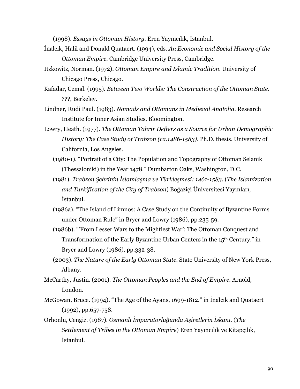(1998). Essays in Ottoman History. Eren Yayıncılık, Istanbul.

- Inalcik, Halil and Donald Quataert. (1994), eds. An Economic and Social History of the Ottoman Empire. Cambridge University Press, Cambridge.
- Itzkowitz, Norman. (1972). Ottoman Empire and Islamic Tradition. University of Chicago Press, Chicago.
- Kafadar, Cemal. (1995). Between Two Worlds: The Construction of the Ottoman State. ???, Berkeley.
- Lindner, Rudi Paul. (1983). Nomads and Ottomans in Medieval Anatolia. Research Institute for Inner Asian Studies, Bloomington.
- Lowry, Heath. (1977). The Ottoman Tahrir Defters as a Source for Urban Demographic History: The Case Study of Trabzon (ca.1486-1583). Ph.D. thesis. University of California, Los Angeles.
	- (1980-1). "Portrait of a City: The Population and Topography of Ottoman Selanik (Thessaloniki) in the Year 1478." Dumbarton Oaks, Washington, D.C.
	- (1981). Trabzon Şehrinin İslamlaşma ve Türkleşmesi: 1461-1583. (The Islamization and Turkification of the City of Trabzon) Boğaziçi Üniversitesi Yayınları, İstanbul.
	- (1986a). "The Island of Limnos: A Case Study on the Continuity of Byzantine Forms under Ottoman Rule" in Bryer and Lowry (1986), pp.235-59.
	- (1986b). "From Lesser Wars to the Mightiest War': The Ottoman Conquest and Transformation of the Early Byzantine Urban Centers in the 15<sup>th</sup> Century." in Bryer and Lowry (1986), pp.332-38.
	- (2003). The Nature of the Early Ottoman State. State University of New York Press, Albany.
- McCarthy, Justin. (2001). The Ottoman Peoples and the End of Empire. Arnold, London.
- McGowan, Bruce. (1994). "The Age of the Ayans, 1699-1812." in Inalcık and Quataert  $(1992)$ , pp.657-758.
- Orhonlu, Cengiz. (1987). Osmanlı İmparatorluğunda Aşiretlerin İskanı. (The Settlement of Tribes in the Ottoman Empire) Eren Yavincilik ve Kitapcilik, *istanbul.*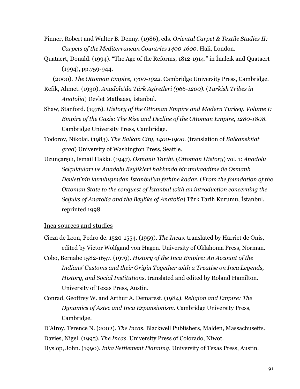- Pinner, Robert and Walter B. Denny. (1986), eds. Oriental Carpet & Textile Studies II: Carpets of the Mediterranean Countries 1400-1600. Hali, London.
- Quataert, Donald. (1994). "The Age of the Reforms, 1812-1914." in Inalcik and Quataert  $(1994)$ , pp.759-944.

(2000). The Ottoman Empire, 1700-1922. Cambridge University Press, Cambridge.

- Refik, Ahmet. (1930). Anadolu'da Türk Aşiretleri (966-1200). (Turkish Tribes in Anatolia) Devlet Matbaası, İstanbul.
- Shaw, Stanford. (1976). History of the Ottoman Empire and Modern Turkey. Volume I: Empire of the Gazis: The Rise and Decline of the Ottoman Empire, 1280-1808. Cambridge University Press, Cambridge.
- Todorov, Nikolai. (1983). The Balkan City, 1400-1900. (translation of Balkanskiiat *grad*) University of Washington Press, Seattle.
- Uzunçarşılı, İsmail Hakkı. (1947). Osmanlı Tarihi. (Ottoman History) vol. 1: Anadolu Selçukluları ve Anadolu Beylikleri hakkında bir mukaddime ile Osmanlı Devleti'nin kuruluşundan İstanbul'un fethine kadar. (From the foundation of the Ottoman State to the conquest of Istanbul with an introduction concerning the Seljuks of Anatolia and the Beyliks of Anatolia) Türk Tarih Kurumu, İstanbul. reprinted 1998.

### Inca sources and studies

- Cieza de Leon, Pedro de. 1520-1554. (1959). The Incas. translated by Harriet de Onis, edited by Victor Wolfgand von Hagen. University of Oklahoma Press, Norman.
- Cobo, Bernabe 1582-1657. (1979). History of the Inca Empire: An Account of the Indians' Customs and their Origin Together with a Treatise on Inca Legends, History, and Social Institutions. translated and edited by Roland Hamilton. University of Texas Press, Austin.
- Conrad, Geoffrey W. and Arthur A. Demarest. (1984). Religion and Empire: The Dynamics of Aztec and Inca Expansionism. Cambridge University Press, Cambridge.

D'Alroy, Terence N. (2002). The Incas. Blackwell Publishers, Malden, Massachusetts. Davies, Nigel. (1995). The Incas. University Press of Colorado, Niwot. Hyslop, John. (1990). Inka Settlement Planning. University of Texas Press, Austin.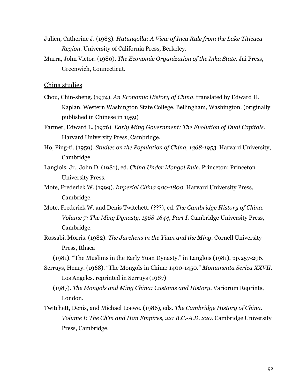- Julien, Catherine J. (1983). Hatungolla: A View of Inca Rule from the Lake Titicaca Region. University of California Press, Berkeley.
- Murra, John Victor. (1980). The Economic Organization of the Inka State. Jai Press, Greenwich, Connecticut.

### China studies

- Chou, Chin-sheng. (1974). An Economic History of China. translated by Edward H. Kaplan. Western Washington State College, Bellingham, Washington. (originally published in Chinese in 1959)
- Farmer, Edward L. (1976). Early Ming Government: The Evolution of Dual Capitals. Harvard University Press, Cambridge.
- Ho, Ping-ti. (1959). Studies on the Population of China, 1368-1953. Harvard University, Cambridge.
- Langlois, Jr., John D. (1981), ed. China Under Mongol Rule. Princeton: Princeton **University Press.**
- Mote, Frederick W. (1999). Imperial China 900-1800. Harvard University Press, Cambridge.
- Mote, Frederick W. and Denis Twitchett. (???), ed. The Cambridge History of China. Volume 7: The Ming Dynasty, 1368-1644, Part I. Cambridge University Press, Cambridge.
- Rossabi, Morris. (1982). The Jurchens in the Yüan and the Ming. Cornell University Press, Ithaca

(1981). "The Muslims in the Early Yüan Dynasty," in Langlois (1981), pp.257-296.

- Serruys, Henry. (1968). "The Mongols in China: 1400-1450." Monumenta Serica XXVII. Los Angeles. reprinted in Serruys (1987)
	- (1987). The Mongols and Ming China: Customs and History. Variorum Reprints, London.
- Twitchett, Denis, and Michael Loewe. (1986), eds. The Cambridge History of China. Volume I: The Ch'in and Han Empires, 221 B.C.-A.D. 220. Cambridge University Press, Cambridge.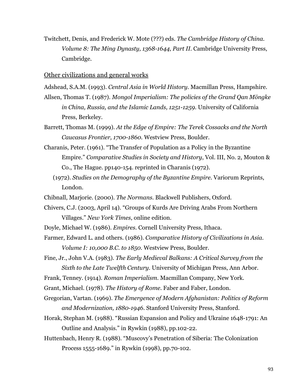Twitchett, Denis, and Frederick W. Mote (???) eds. *The Cambridge History of China*. Volume 8: The Ming Dynasty, 1368-1644, Part II. Cambridge University Press, Cambridge.

Other civilizations and general works

Adshead, S.A.M. (1993). Central Asia in World History. Macmillan Press, Hampshire.

- Allsen, Thomas T. (1987). Mongol Imperialism: The policies of the Grand Qan Möngke in China, Russia, and the Islamic Lands, 1251-1259. University of California Press, Berkeley.
- Barrett, Thomas M. (1999). At the Edge of Empire: The Terek Cossacks and the North Caucasus Frontier, 1700-1860. Westview Press, Boulder.
- Charanis, Peter. (1961). "The Transfer of Population as a Policy in the Byzantine Empire." Comparative Studies in Society and History, Vol. III, No. 2, Mouton & Co., The Hague. pp140-154. reprinted in Charanis (1972).
	- (1972). Studies on the Demography of the Byzantine Empire. Variorum Reprints, London.
- Chibnall, Marjorie. (2000). The Normans. Blackwell Publishers, Oxford.
- Chivers, C.J. (2003, April 14). "Groups of Kurds Are Driving Arabs From Northern Villages." New York Times, online edition.
- Doyle, Michael W. (1986). *Empires*. Cornell University Press, Ithaca.
- Farmer, Edward L. and others. (1986). Comparative History of Civilizations in Asia. Volume I: 10,000 B.C. to 1850. Westview Press, Boulder.
- Fine, Jr., John V.A. (1983). The Early Medieval Balkans: A Critical Survey from the Sixth to the Late Twelfth Century. University of Michigan Press, Ann Arbor.
- Frank, Tenney. (1914). Roman Imperialism. Macmillan Company, New York.
- Grant, Michael. (1978). The History of Rome. Faber and Faber, London.
- Gregorian, Vartan. (1969). The Emergence of Modern Afghanistan: Politics of Reform and Modernization, 1880-1946. Stanford University Press, Stanford.
- Horak, Stephan M. (1988). "Russian Expansion and Policy and Ukraine 1648-1791: An Outline and Analysis." in Rywkin (1988), pp.102-22.
- Huttenbach, Henry R. (1988). "Muscovy's Penetration of Siberia: The Colonization Process 1555-1689." in Rywkin (1998), pp.70-102.